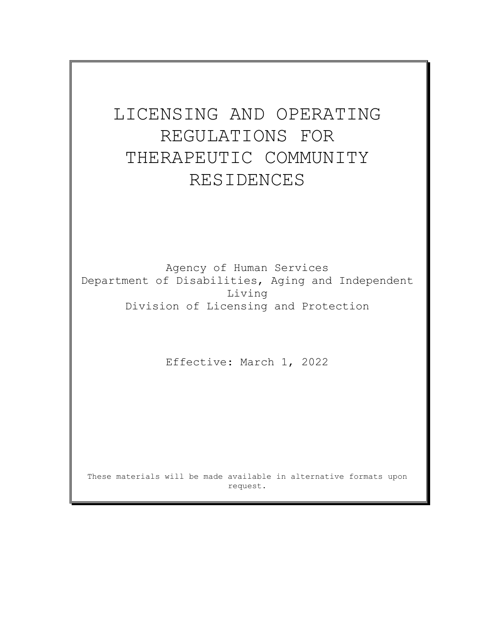# LICENSING AND OPERATING REGULATIONS FOR THERAPEUTIC COMMUNITY RESIDENCES

Agency of Human Services Department of Disabilities, Aging and Independent Living Division of Licensing and Protection

Effective: March 1, 2022

These materials will be made available in alternative formats upon request.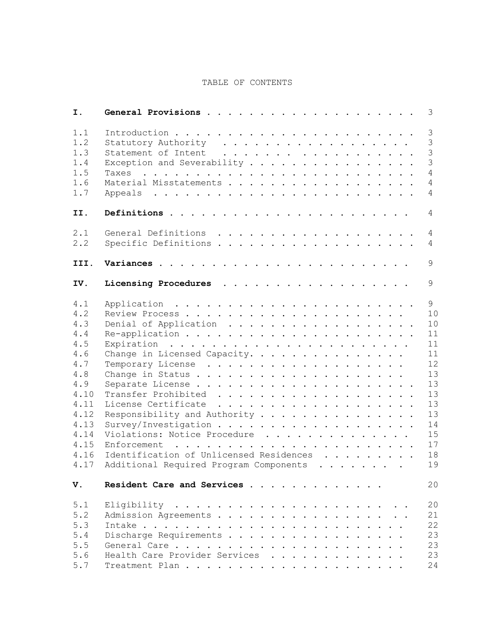# TABLE OF CONTENTS

| Ι.                                                                                                                          |                                                                                                                                                                                                            | 3                                                                                                 |
|-----------------------------------------------------------------------------------------------------------------------------|------------------------------------------------------------------------------------------------------------------------------------------------------------------------------------------------------------|---------------------------------------------------------------------------------------------------|
| 1.1<br>1.2<br>1.3<br>1.4<br>1.5<br>1.6<br>1.7                                                                               | Statutory Authority<br>Exception and Severability                                                                                                                                                          | $\mathcal{S}$<br>3<br>$\overline{3}$<br>$\mathcal{S}$<br>$\overline{4}$<br>4<br>4                 |
| II.                                                                                                                         |                                                                                                                                                                                                            | 4                                                                                                 |
| 2.1<br>2.2                                                                                                                  | Specific Definitions                                                                                                                                                                                       | 4<br>4                                                                                            |
| III.                                                                                                                        |                                                                                                                                                                                                            | 9                                                                                                 |
| IV.                                                                                                                         | Licensing Procedures                                                                                                                                                                                       | 9                                                                                                 |
| 4.1<br>4.2<br>4.3<br>4.4<br>4.5<br>4.6<br>4.7<br>4.8<br>4.9<br>4.10<br>4.11<br>4.12<br>4.13<br>4.14<br>4.15<br>4.16<br>4.17 | Denial of Application<br>Change in Licensed Capacity.<br>Responsibility and Authority<br>Violations: Notice Procedure<br>Identification of Unlicensed Residences<br>Additional Required Program Components | 9<br>10<br>10<br>11<br>11<br>11<br>12<br>13<br>13<br>13<br>13<br>13<br>14<br>15<br>17<br>18<br>19 |
| V.                                                                                                                          | Resident Care and Services                                                                                                                                                                                 | 20                                                                                                |
| 5.1<br>5.2<br>5.3<br>5.4<br>5.5<br>5.6<br>5.7                                                                               | Admission Agreements<br>Discharge Requirements<br>Health Care Provider Services                                                                                                                            | 20<br>21<br>22<br>23<br>23<br>23<br>24                                                            |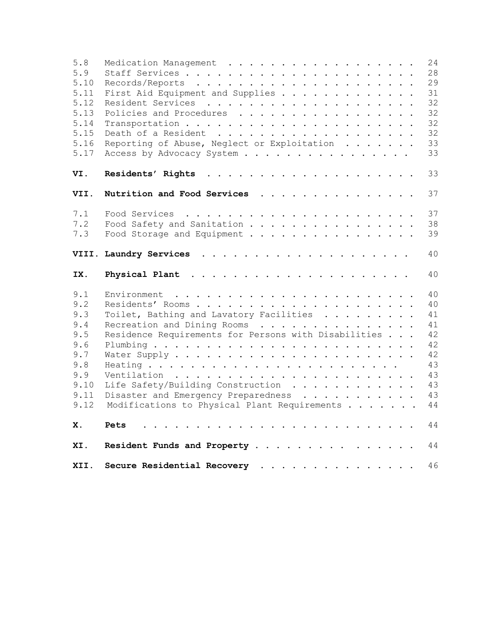| 5.8<br>5.9<br>5.10<br>5.11<br>5.12<br>5.13<br>5.14<br>5.15<br>5.16<br>5.17          | Medication Management<br>First Aid Equipment and Supplies<br>Policies and Procedures<br>Reporting of Abuse, Neglect or Exploitation<br>Access by Advocacy System                                                                                                          | 24<br>28<br>29<br>31<br>32<br>32<br>32<br>32<br>33<br>33             |
|-------------------------------------------------------------------------------------|---------------------------------------------------------------------------------------------------------------------------------------------------------------------------------------------------------------------------------------------------------------------------|----------------------------------------------------------------------|
| VI.                                                                                 |                                                                                                                                                                                                                                                                           | 33                                                                   |
| VII.                                                                                | Nutrition and Food Services                                                                                                                                                                                                                                               | 37                                                                   |
| 7.1<br>7.2<br>7.3                                                                   | Food Safety and Sanitation<br>Food Storage and Equipment                                                                                                                                                                                                                  | 37<br>38<br>39                                                       |
|                                                                                     |                                                                                                                                                                                                                                                                           | 40                                                                   |
| IX.                                                                                 |                                                                                                                                                                                                                                                                           |                                                                      |
|                                                                                     |                                                                                                                                                                                                                                                                           | 40                                                                   |
| 9.1<br>9.2<br>9.3<br>9.4<br>9.5<br>9.6<br>9.7<br>9.8<br>9.9<br>9.10<br>9.11<br>9.12 | Environment<br>Toilet, Bathing and Lavatory Facilities<br>Recreation and Dining Rooms<br>Residence Requirements for Persons with Disabilities<br>Life Safety/Building Construction<br>Disaster and Emergency Preparedness<br>Modifications to Physical Plant Requirements | 40<br>40<br>41<br>41<br>42<br>42<br>42<br>43<br>43<br>43<br>43<br>44 |
| Х.                                                                                  | Pets                                                                                                                                                                                                                                                                      | 44                                                                   |
| XI.                                                                                 | Resident Funds and Property                                                                                                                                                                                                                                               | 44                                                                   |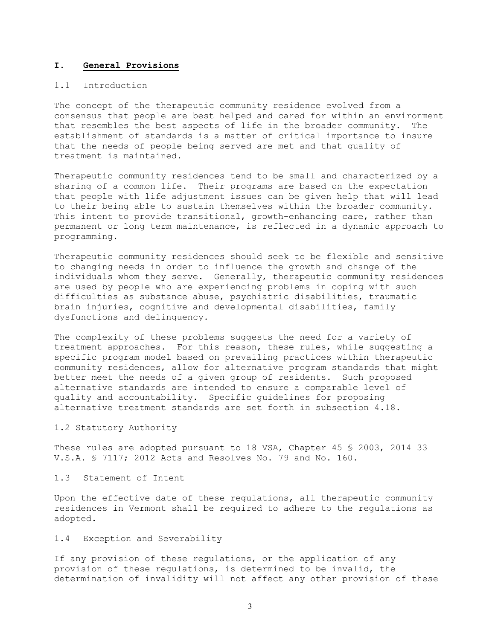#### **I. General Provisions**

# 1.1 Introduction

The concept of the therapeutic community residence evolved from a consensus that people are best helped and cared for within an environment<br>that resembles the best aspects of life in the broader community. The that resembles the best aspects of life in the broader community. establishment of standards is a matter of critical importance to insure that the needs of people being served are met and that quality of treatment is maintained.

Therapeutic community residences tend to be small and characterized by a sharing of a common life. Their programs are based on the expectation that people with life adjustment issues can be given help that will lead to their being able to sustain themselves within the broader community. This intent to provide transitional, growth-enhancing care, rather than permanent or long term maintenance, is reflected in a dynamic approach to programming.

Therapeutic community residences should seek to be flexible and sensitive to changing needs in order to influence the growth and change of the individuals whom they serve. Generally, therapeutic community residences are used by people who are experiencing problems in coping with such difficulties as substance abuse, psychiatric disabilities, traumatic brain injuries, cognitive and developmental disabilities, family dysfunctions and delinquency.

The complexity of these problems suggests the need for a variety of treatment approaches. For this reason, these rules, while suggesting a specific program model based on prevailing practices within therapeutic community residences, allow for alternative program standards that might better meet the needs of a given group of residents. Such proposed alternative standards are intended to ensure a comparable level of quality and accountability. Specific guidelines for proposing alternative treatment standards are set forth in subsection 4.18.

# 1.2 Statutory Authority

These rules are adopted pursuant to 18 VSA, Chapter 45 § 2003, 2014 33 V.S.A. § 7117; 2012 Acts and Resolves No. 79 and No. 160.

# 1.3 Statement of Intent

Upon the effective date of these regulations, all therapeutic community residences in Vermont shall be required to adhere to the regulations as adopted.

# 1.4 Exception and Severability

If any provision of these regulations, or the application of any provision of these regulations, is determined to be invalid, the determination of invalidity will not affect any other provision of these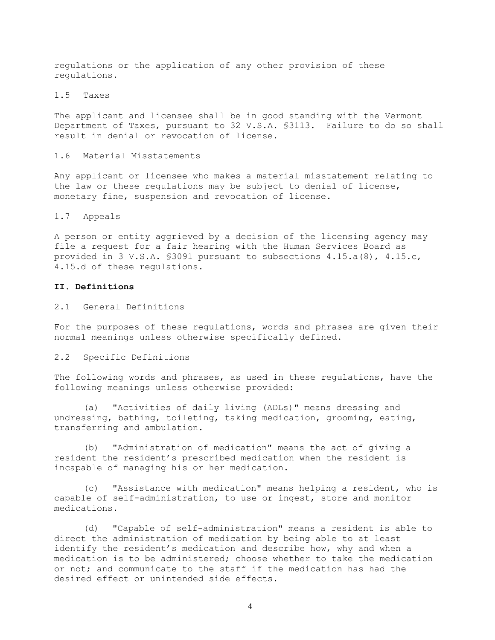regulations or the application of any other provision of these regulations.

# 1.5 Taxes

The applicant and licensee shall be in good standing with the Vermont Department of Taxes, pursuant to 32 V.S.A. §3113. Failure to do so shall result in denial or revocation of license.

## 1.6 Material Misstatements

Any applicant or licensee who makes a material misstatement relating to the law or these regulations may be subject to denial of license, monetary fine, suspension and revocation of license.

#### 1.7 Appeals

A person or entity aggrieved by a decision of the licensing agency may file a request for a fair hearing with the Human Services Board as provided in 3 V.S.A. §3091 pursuant to subsections 4.15.a(8), 4.15.c, 4.15.d of these regulations.

# **II. Definitions**

2.1 General Definitions

For the purposes of these regulations, words and phrases are given their normal meanings unless otherwise specifically defined.

#### 2.2 Specific Definitions

The following words and phrases, as used in these regulations, have the following meanings unless otherwise provided:

(a) "Activities of daily living (ADLs)" means dressing and undressing, bathing, toileting, taking medication, grooming, eating, transferring and ambulation.

(b) "Administration of medication" means the act of giving a resident the resident's prescribed medication when the resident is incapable of managing his or her medication.

(c) "Assistance with medication" means helping a resident, who is capable of self-administration, to use or ingest, store and monitor medications.

(d) "Capable of self-administration" means a resident is able to direct the administration of medication by being able to at least identify the resident's medication and describe how, why and when a medication is to be administered; choose whether to take the medication or not; and communicate to the staff if the medication has had the desired effect or unintended side effects.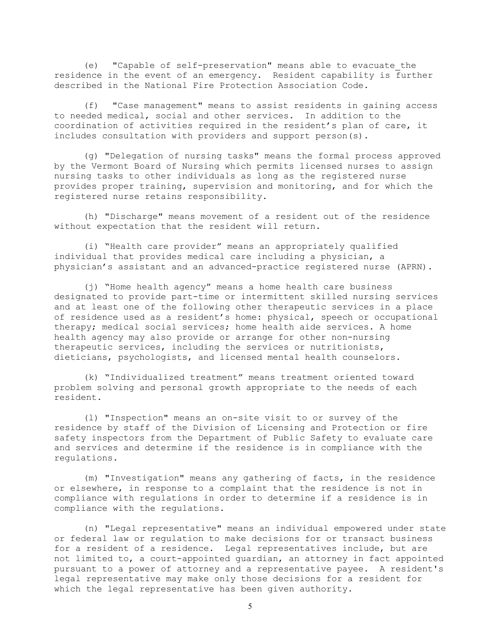(e) "Capable of self-preservation" means able to evacuate the residence in the event of an emergency. Resident capability is further described in the National Fire Protection Association Code.

(f) "Case management" means to assist residents in gaining access to needed medical, social and other services. In addition to the coordination of activities required in the resident's plan of care, it includes consultation with providers and support person(s).

(g) "Delegation of nursing tasks" means the formal process approved by the Vermont Board of Nursing which permits licensed nurses to assign nursing tasks to other individuals as long as the registered nurse provides proper training, supervision and monitoring, and for which the registered nurse retains responsibility.

(h) "Discharge" means movement of a resident out of the residence without expectation that the resident will return.

(i) "Health care provider" means an appropriately qualified individual that provides medical care including a physician, a physician's assistant and an advanced-practice registered nurse (APRN).

(j) "Home health agency" means a home health care business designated to provide part-time or intermittent skilled nursing services and at least one of the following other therapeutic services in a place of residence used as a resident's home: physical, speech or occupational therapy; medical social services; home health aide services. A home health agency may also provide or arrange for other non-nursing therapeutic services, including the services or nutritionists, dieticians, psychologists, and licensed mental health counselors.

(k) "Individualized treatment" means treatment oriented toward problem solving and personal growth appropriate to the needs of each resident.

(l) "Inspection" means an on-site visit to or survey of the residence by staff of the Division of Licensing and Protection or fire safety inspectors from the Department of Public Safety to evaluate care and services and determine if the residence is in compliance with the regulations.

(m) "Investigation" means any gathering of facts, in the residence or elsewhere, in response to a complaint that the residence is not in compliance with regulations in order to determine if a residence is in compliance with the regulations.

(n) "Legal representative" means an individual empowered under state or federal law or regulation to make decisions for or transact business for a resident of a residence. Legal representatives include, but are not limited to, a court-appointed guardian, an attorney in fact appointed pursuant to a power of attorney and a representative payee. A resident's legal representative may make only those decisions for a resident for which the legal representative has been given authority.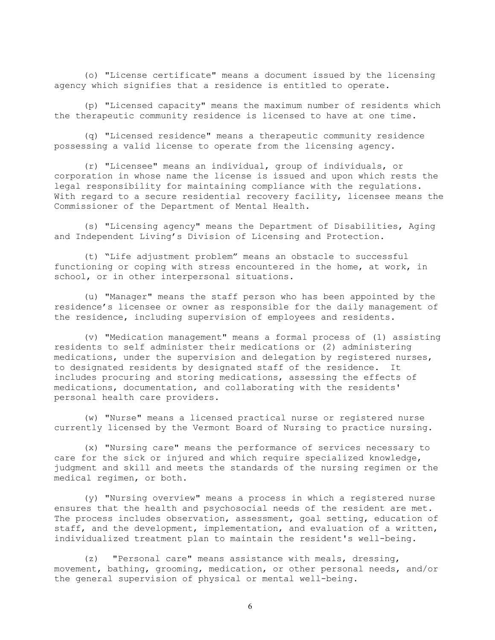(o) "License certificate" means a document issued by the licensing agency which signifies that a residence is entitled to operate.

(p) "Licensed capacity" means the maximum number of residents which the therapeutic community residence is licensed to have at one time.

(q) "Licensed residence" means a therapeutic community residence possessing a valid license to operate from the licensing agency.

(r) "Licensee" means an individual, group of individuals, or corporation in whose name the license is issued and upon which rests the legal responsibility for maintaining compliance with the regulations. With regard to a secure residential recovery facility, licensee means the Commissioner of the Department of Mental Health.

(s) "Licensing agency" means the Department of Disabilities, Aging and Independent Living's Division of Licensing and Protection.

(t) "Life adjustment problem" means an obstacle to successful functioning or coping with stress encountered in the home, at work, in school, or in other interpersonal situations.

(u) "Manager" means the staff person who has been appointed by the residence's licensee or owner as responsible for the daily management of the residence, including supervision of employees and residents.

(v) "Medication management" means a formal process of (1) assisting residents to self administer their medications or (2) administering medications, under the supervision and delegation by registered nurses, to designated residents by designated staff of the residence. It includes procuring and storing medications, assessing the effects of medications, documentation, and collaborating with the residents' personal health care providers.

(w) "Nurse" means a licensed practical nurse or registered nurse currently licensed by the Vermont Board of Nursing to practice nursing.

(x) "Nursing care" means the performance of services necessary to care for the sick or injured and which require specialized knowledge, judgment and skill and meets the standards of the nursing regimen or the medical regimen, or both.

(y) "Nursing overview" means a process in which a registered nurse ensures that the health and psychosocial needs of the resident are met. The process includes observation, assessment, goal setting, education of staff, and the development, implementation, and evaluation of a written, individualized treatment plan to maintain the resident's well-being.

(z) "Personal care" means assistance with meals, dressing, movement, bathing, grooming, medication, or other personal needs, and/or the general supervision of physical or mental well-being.

6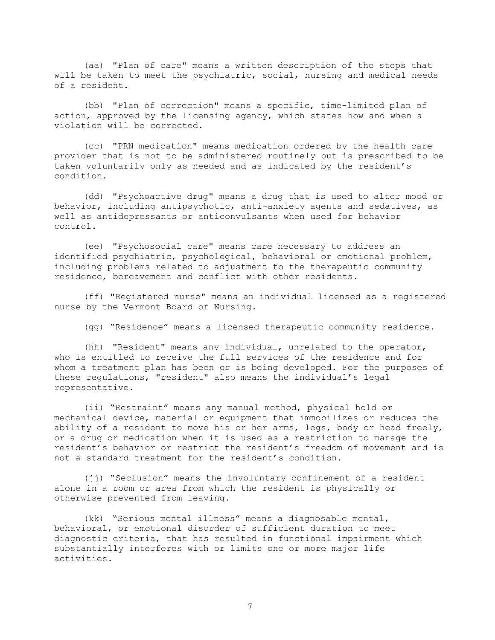(aa) "Plan of care" means a written description of the steps that will be taken to meet the psychiatric, social, nursing and medical needs of a resident.

(bb) "Plan of correction" means a specific, time-limited plan of action, approved by the licensing agency, which states how and when a violation will be corrected.

(cc) "PRN medication" means medication ordered by the health care provider that is not to be administered routinely but is prescribed to be taken voluntarily only as needed and as indicated by the resident's condition.

(dd) "Psychoactive drug" means a drug that is used to alter mood or behavior, including antipsychotic, anti-anxiety agents and sedatives, as well as antidepressants or anticonvulsants when used for behavior control.

(ee) "Psychosocial care" means care necessary to address an identified psychiatric, psychological, behavioral or emotional problem, including problems related to adjustment to the therapeutic community residence, bereavement and conflict with other residents.

(ff) "Registered nurse" means an individual licensed as a registered nurse by the Vermont Board of Nursing.

(gg) "Residence" means a licensed therapeutic community residence.

(hh) "Resident" means any individual, unrelated to the operator, who is entitled to receive the full services of the residence and for whom a treatment plan has been or is being developed. For the purposes of these regulations, "resident" also means the individual's legal representative.

(ii) "Restraint" means any manual method, physical hold or mechanical device, material or equipment that immobilizes or reduces the ability of a resident to move his or her arms, legs, body or head freely, or a drug or medication when it is used as a restriction to manage the resident's behavior or restrict the resident's freedom of movement and is not a standard treatment for the resident's condition.

(jj) "Seclusion" means the involuntary confinement of a resident alone in a room or area from which the resident is physically or otherwise prevented from leaving.

(kk) "Serious mental illness" means a diagnosable mental, behavioral, or emotional disorder of sufficient duration to meet diagnostic criteria, that has resulted in functional impairment which substantially interferes with or limits one or more major life activities.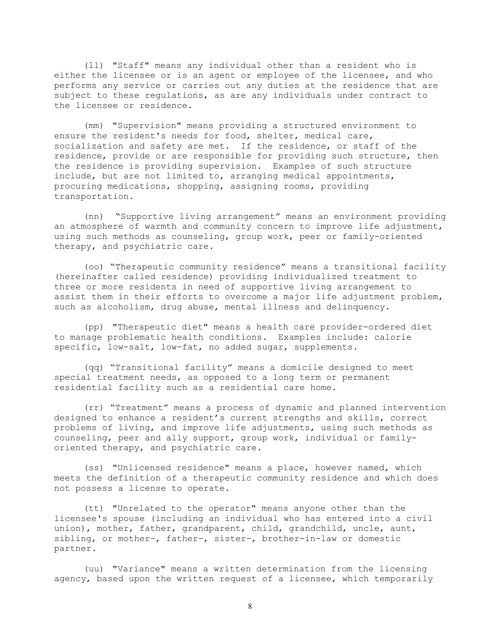(ll) "Staff" means any individual other than a resident who is either the licensee or is an agent or employee of the licensee, and who performs any service or carries out any duties at the residence that are subject to these regulations, as are any individuals under contract to the licensee or residence.

(mm) "Supervision" means providing a structured environment to ensure the resident's needs for food, shelter, medical care, socialization and safety are met. If the residence, or staff of the residence, provide or are responsible for providing such structure, then the residence is providing supervision. Examples of such structure include, but are not limited to, arranging medical appointments, procuring medications, shopping, assigning rooms, providing transportation.

(nn) "Supportive living arrangement" means an environment providing an atmosphere of warmth and community concern to improve life adjustment, using such methods as counseling, group work, peer or family-oriented therapy, and psychiatric care.

(oo) "Therapeutic community residence" means a transitional facility (hereinafter called residence) providing individualized treatment to three or more residents in need of supportive living arrangement to assist them in their efforts to overcome a major life adjustment problem, such as alcoholism, drug abuse, mental illness and delinquency.

(pp) "Therapeutic diet" means a health care provider-ordered diet to manage problematic health conditions. Examples include: calorie specific, low-salt, low-fat, no added sugar, supplements.

(qq) "Transitional facility" means a domicile designed to meet special treatment needs, as opposed to a long term or permanent residential facility such as a residential care home.

(rr) "Treatment" means a process of dynamic and planned intervention designed to enhance a resident's current strengths and skills, correct problems of living, and improve life adjustments, using such methods as counseling, peer and ally support, group work, individual or familyoriented therapy, and psychiatric care.

(ss) "Unlicensed residence" means a place, however named, which meets the definition of a therapeutic community residence and which does not possess a license to operate.

(tt) "Unrelated to the operator" means anyone other than the licensee's spouse (including an individual who has entered into a civil union), mother, father, grandparent, child, grandchild, uncle, aunt, sibling, or mother-, father-, sister-, brother-in-law or domestic partner.

(uu) "Variance" means a written determination from the licensing agency, based upon the written request of a licensee, which temporarily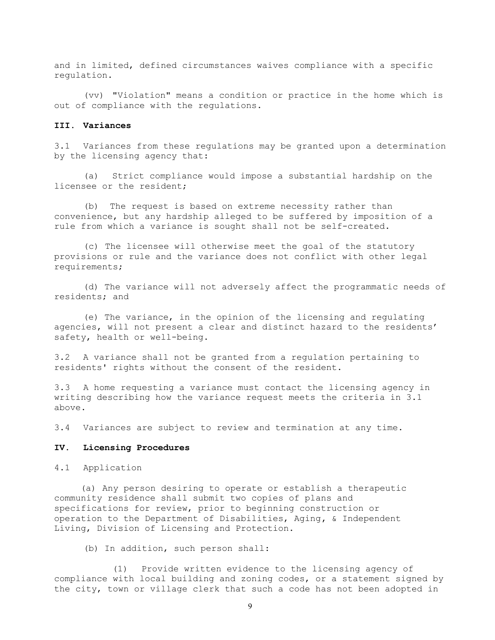and in limited, defined circumstances waives compliance with a specific regulation.

(vv) "Violation" means a condition or practice in the home which is out of compliance with the regulations.

# **III. Variances**

3.1 Variances from these regulations may be granted upon a determination by the licensing agency that:

(a) Strict compliance would impose a substantial hardship on the licensee or the resident;

(b) The request is based on extreme necessity rather than convenience, but any hardship alleged to be suffered by imposition of a rule from which a variance is sought shall not be self-created.

(c) The licensee will otherwise meet the goal of the statutory provisions or rule and the variance does not conflict with other legal requirements;

(d) The variance will not adversely affect the programmatic needs of residents; and

(e) The variance, in the opinion of the licensing and regulating agencies, will not present a clear and distinct hazard to the residents' safety, health or well-being.

3.2 A variance shall not be granted from a regulation pertaining to residents' rights without the consent of the resident.

3.3 A home requesting a variance must contact the licensing agency in writing describing how the variance request meets the criteria in 3.1 above.

3.4 Variances are subject to review and termination at any time.

#### **IV. Licensing Procedures**

4.1 Application

(a) Any person desiring to operate or establish a therapeutic community residence shall submit two copies of plans and specifications for review, prior to beginning construction or operation to the Department of Disabilities, Aging**,** & Independent Living, Division of Licensing and Protection.

(b) In addition, such person shall:

(1) Provide written evidence to the licensing agency of compliance with local building and zoning codes, or a statement signed by the city, town or village clerk that such a code has not been adopted in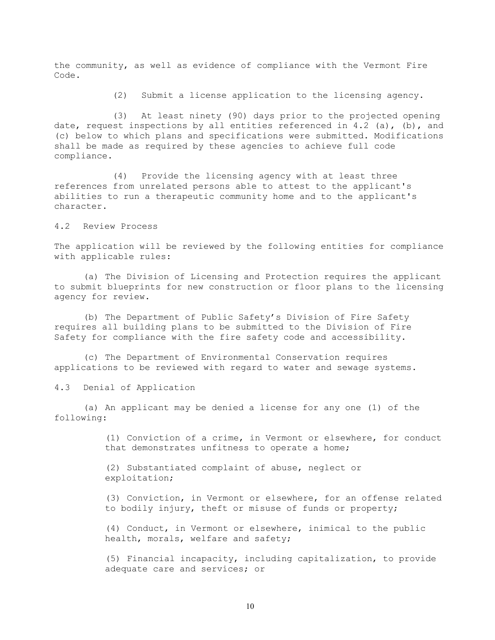the community, as well as evidence of compliance with the Vermont Fire Code.

(2) Submit a license application to the licensing agency.

(3) At least ninety (90) days prior to the projected opening date, request inspections by all entities referenced in 4.2 (a), (b), and (c) below to which plans and specifications were submitted. Modifications shall be made as required by these agencies to achieve full code compliance.

(4) Provide the licensing agency with at least three references from unrelated persons able to attest to the applicant's abilities to run a therapeutic community home and to the applicant's character.

4.2 Review Process

The application will be reviewed by the following entities for compliance with applicable rules:

(a) The Division of Licensing and Protection requires the applicant to submit blueprints for new construction or floor plans to the licensing agency for review.

(b) The Department of Public Safety's Division of Fire Safety requires all building plans to be submitted to the Division of Fire Safety for compliance with the fire safety code and accessibility.

(c) The Department of Environmental Conservation requires applications to be reviewed with regard to water and sewage systems.

4.3 Denial of Application

(a) An applicant may be denied a license for any one (1) of the following:

> (1) Conviction of a crime, in Vermont or elsewhere, for conduct that demonstrates unfitness to operate a home;

(2) Substantiated complaint of abuse, neglect or exploitation;

(3) Conviction, in Vermont or elsewhere, for an offense related to bodily injury, theft or misuse of funds or property;

(4) Conduct, in Vermont or elsewhere, inimical to the public health, morals, welfare and safety;

(5) Financial incapacity, including capitalization, to provide adequate care and services; or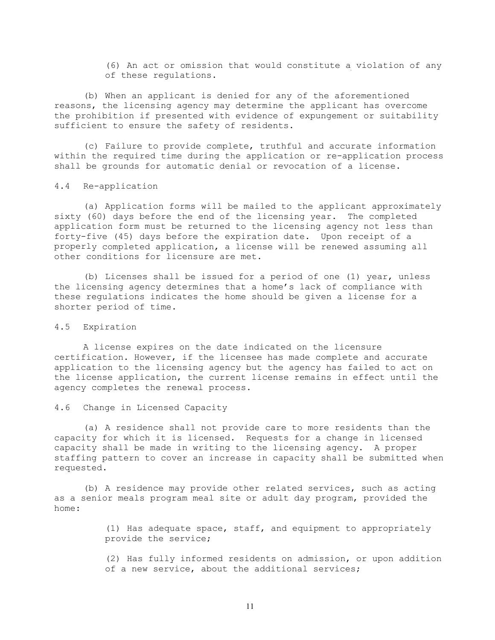(6) An act or omission that would constitute a violation of any of these regulations.

(b) When an applicant is denied for any of the aforementioned reasons, the licensing agency may determine the applicant has overcome the prohibition if presented with evidence of expungement or suitability sufficient to ensure the safety of residents.

(c) Failure to provide complete, truthful and accurate information within the required time during the application or re-application process shall be grounds for automatic denial or revocation of a license.

# 4.4 Re-application

(a) Application forms will be mailed to the applicant approximately sixty (60) days before the end of the licensing year. The completed application form must be returned to the licensing agency not less than forty-five (45) days before the expiration date. Upon receipt of a properly completed application, a license will be renewed assuming all other conditions for licensure are met.

(b) Licenses shall be issued for a period of one (1) year, unless the licensing agency determines that a home's lack of compliance with these regulations indicates the home should be given a license for a shorter period of time.

#### 4.5 Expiration

A license expires on the date indicated on the licensure certification. However, if the licensee has made complete and accurate application to the licensing agency but the agency has failed to act on the license application, the current license remains in effect until the agency completes the renewal process.

4.6 Change in Licensed Capacity

(a) A residence shall not provide care to more residents than the capacity for which it is licensed. Requests for a change in licensed capacity shall be made in writing to the licensing agency. A proper staffing pattern to cover an increase in capacity shall be submitted when requested.

(b) A residence may provide other related services, such as acting as a senior meals program meal site or adult day program, provided the home:

> (1) Has adequate space, staff, and equipment to appropriately provide the service;

(2) Has fully informed residents on admission, or upon addition of a new service, about the additional services;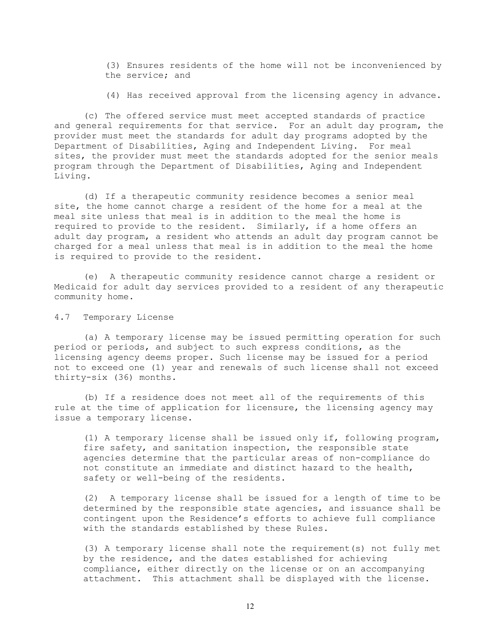(3) Ensures residents of the home will not be inconvenienced by the service; and

(4) Has received approval from the licensing agency in advance.

(c) The offered service must meet accepted standards of practice and general requirements for that service. For an adult day program, the provider must meet the standards for adult day programs adopted by the Department of Disabilities, Aging and Independent Living. For meal sites, the provider must meet the standards adopted for the senior meals program through the Department of Disabilities, Aging and Independent Living.

(d) If a therapeutic community residence becomes a senior meal site, the home cannot charge a resident of the home for a meal at the meal site unless that meal is in addition to the meal the home is required to provide to the resident. Similarly, if a home offers an adult day program, a resident who attends an adult day program cannot be charged for a meal unless that meal is in addition to the meal the home is required to provide to the resident.

(e) A therapeutic community residence cannot charge a resident or Medicaid for adult day services provided to a resident of any therapeutic community home.

4.7 Temporary License

(a) A temporary license may be issued permitting operation for such period or periods, and subject to such express conditions, as the licensing agency deems proper. Such license may be issued for a period not to exceed one (1) year and renewals of such license shall not exceed thirty-six (36) months.

(b) If a residence does not meet all of the requirements of this rule at the time of application for licensure, the licensing agency may issue a temporary license.

(1) A temporary license shall be issued only if, following program, fire safety, and sanitation inspection, the responsible state agencies determine that the particular areas of non-compliance do not constitute an immediate and distinct hazard to the health, safety or well-being of the residents.

(2) A temporary license shall be issued for a length of time to be determined by the responsible state agencies, and issuance shall be contingent upon the Residence's efforts to achieve full compliance with the standards established by these Rules.

(3) A temporary license shall note the requirement(s) not fully met by the residence, and the dates established for achieving compliance, either directly on the license or on an accompanying attachment. This attachment shall be displayed with the license.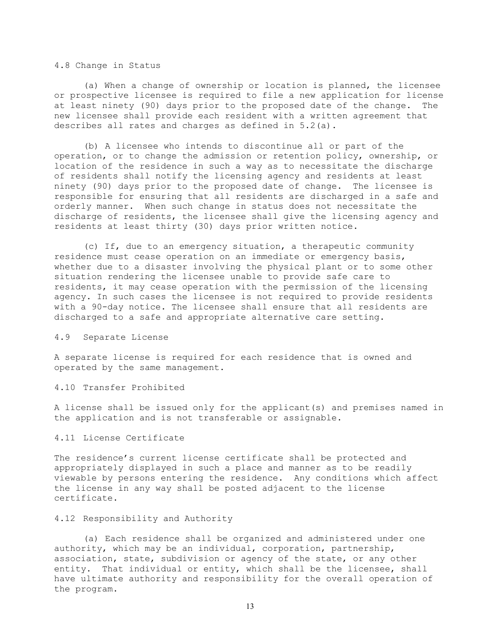#### 4.8 Change in Status

(a) When a change of ownership or location is planned, the licensee or prospective licensee is required to file a new application for license at least ninety (90) days prior to the proposed date of the change. The new licensee shall provide each resident with a written agreement that describes all rates and charges as defined in 5.2(a).

(b) A licensee who intends to discontinue all or part of the operation, or to change the admission or retention policy, ownership, or location of the residence in such a way as to necessitate the discharge of residents shall notify the licensing agency and residents at least ninety (90) days prior to the proposed date of change. The licensee is responsible for ensuring that all residents are discharged in a safe and orderly manner. When such change in status does not necessitate the discharge of residents, the licensee shall give the licensing agency and residents at least thirty (30) days prior written notice.

(c) If, due to an emergency situation, a therapeutic community residence must cease operation on an immediate or emergency basis, whether due to a disaster involving the physical plant or to some other situation rendering the licensee unable to provide safe care to residents, it may cease operation with the permission of the licensing agency. In such cases the licensee is not required to provide residents with a 90-day notice. The licensee shall ensure that all residents are discharged to a safe and appropriate alternative care setting.

#### 4.9 Separate License

A separate license is required for each residence that is owned and operated by the same management.

#### 4.10 Transfer Prohibited

A license shall be issued only for the applicant(s) and premises named in the application and is not transferable or assignable.

# 4.11 License Certificate

The residence's current license certificate shall be protected and appropriately displayed in such a place and manner as to be readily viewable by persons entering the residence. Any conditions which affect the license in any way shall be posted adjacent to the license certificate.

## 4.12 Responsibility and Authority

(a) Each residence shall be organized and administered under one authority, which may be an individual, corporation, partnership, association, state, subdivision or agency of the state, or any other entity. That individual or entity, which shall be the licensee, shall have ultimate authority and responsibility for the overall operation of the program.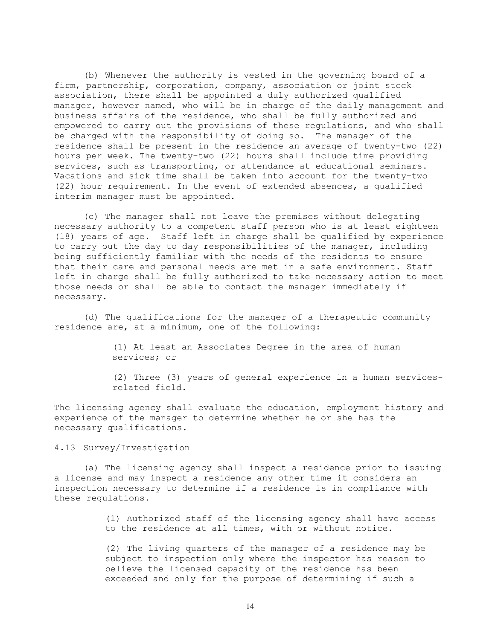(b) Whenever the authority is vested in the governing board of a firm, partnership, corporation, company, association or joint stock association, there shall be appointed a duly authorized qualified manager, however named, who will be in charge of the daily management and business affairs of the residence, who shall be fully authorized and empowered to carry out the provisions of these regulations, and who shall be charged with the responsibility of doing so. The manager of the residence shall be present in the residence an average of twenty-two (22) hours per week. The twenty-two (22) hours shall include time providing services, such as transporting, or attendance at educational seminars. Vacations and sick time shall be taken into account for the twenty-two (22) hour requirement. In the event of extended absences, a qualified interim manager must be appointed.

(c) The manager shall not leave the premises without delegating necessary authority to a competent staff person who is at least eighteen (18) years of age. Staff left in charge shall be qualified by experience to carry out the day to day responsibilities of the manager, including being sufficiently familiar with the needs of the residents to ensure that their care and personal needs are met in a safe environment. Staff left in charge shall be fully authorized to take necessary action to meet those needs or shall be able to contact the manager immediately if necessary.

(d) The qualifications for the manager of a therapeutic community residence are, at a minimum, one of the following:

> (1) At least an Associates Degree in the area of human services; or

(2) Three (3) years of general experience in a human servicesrelated field.

The licensing agency shall evaluate the education, employment history and experience of the manager to determine whether he or she has the necessary qualifications.

4.13 Survey/Investigation

(a) The licensing agency shall inspect a residence prior to issuing a license and may inspect a residence any other time it considers an inspection necessary to determine if a residence is in compliance with these regulations.

> (1) Authorized staff of the licensing agency shall have access to the residence at all times, with or without notice.

(2) The living quarters of the manager of a residence may be subject to inspection only where the inspector has reason to believe the licensed capacity of the residence has been exceeded and only for the purpose of determining if such a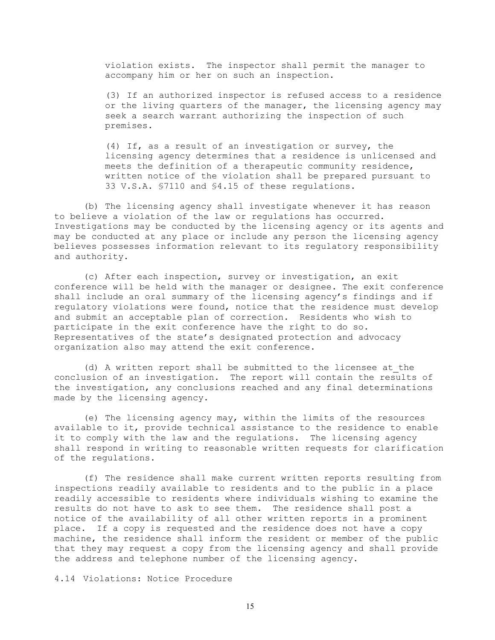violation exists. The inspector shall permit the manager to accompany him or her on such an inspection.

(3) If an authorized inspector is refused access to a residence or the living quarters of the manager, the licensing agency may seek a search warrant authorizing the inspection of such premises.

(4) If, as a result of an investigation or survey, the licensing agency determines that a residence is unlicensed and meets the definition of a therapeutic community residence, written notice of the violation shall be prepared pursuant to 33 V.S.A. §7110 and §4.15 of these regulations.

(b) The licensing agency shall investigate whenever it has reason to believe a violation of the law or regulations has occurred. Investigations may be conducted by the licensing agency or its agents and may be conducted at any place or include any person the licensing agency believes possesses information relevant to its regulatory responsibility and authority.

(c) After each inspection, survey or investigation, an exit conference will be held with the manager or designee. The exit conference shall include an oral summary of the licensing agency's findings and if regulatory violations were found, notice that the residence must develop and submit an acceptable plan of correction. Residents who wish to participate in the exit conference have the right to do so. Representatives of the state's designated protection and advocacy organization also may attend the exit conference.

(d) A written report shall be submitted to the licensee at the conclusion of an investigation. The report will contain the results of the investigation, any conclusions reached and any final determinations made by the licensing agency.

(e) The licensing agency may, within the limits of the resources available to it, provide technical assistance to the residence to enable it to comply with the law and the regulations. The licensing agency shall respond in writing to reasonable written requests for clarification of the regulations.

(f) The residence shall make current written reports resulting from inspections readily available to residents and to the public in a place readily accessible to residents where individuals wishing to examine the results do not have to ask to see them. The residence shall post a notice of the availability of all other written reports in a prominent place. If a copy is requested and the residence does not have a copy machine, the residence shall inform the resident or member of the public that they may request a copy from the licensing agency and shall provide the address and telephone number of the licensing agency.

4.14 Violations: Notice Procedure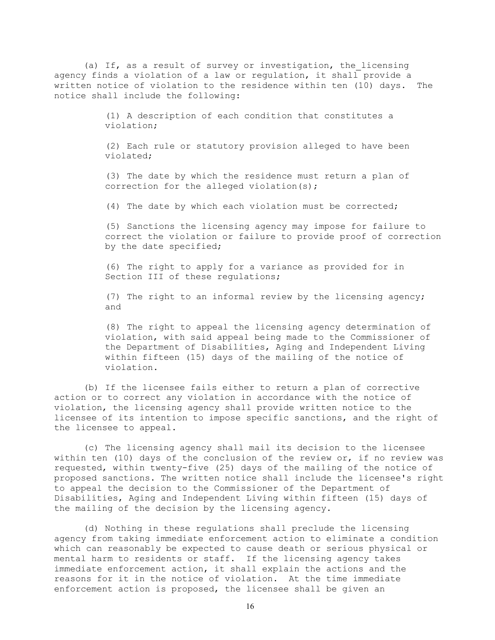(a) If, as a result of survey or investigation, the licensing agency finds a violation of a law or regulation, it shall provide a written notice of violation to the residence within ten (10) days. The notice shall include the following:

> (1) A description of each condition that constitutes a violation;

(2) Each rule or statutory provision alleged to have been violated;

(3) The date by which the residence must return a plan of correction for the alleged violation(s);

(4) The date by which each violation must be corrected;

(5) Sanctions the licensing agency may impose for failure to correct the violation or failure to provide proof of correction by the date specified;

(6) The right to apply for a variance as provided for in Section III of these requlations;

(7) The right to an informal review by the licensing agency; and

(8) The right to appeal the licensing agency determination of violation, with said appeal being made to the Commissioner of the Department of Disabilities, Aging and Independent Living within fifteen (15) days of the mailing of the notice of violation.

(b) If the licensee fails either to return a plan of corrective action or to correct any violation in accordance with the notice of violation, the licensing agency shall provide written notice to the licensee of its intention to impose specific sanctions, and the right of the licensee to appeal.

(c) The licensing agency shall mail its decision to the licensee within ten (10) days of the conclusion of the review or, if no review was requested, within twenty-five (25) days of the mailing of the notice of proposed sanctions. The written notice shall include the licensee's right to appeal the decision to the Commissioner of the Department of Disabilities, Aging and Independent Living within fifteen (15) days of the mailing of the decision by the licensing agency.

(d) Nothing in these regulations shall preclude the licensing agency from taking immediate enforcement action to eliminate a condition which can reasonably be expected to cause death or serious physical or mental harm to residents or staff. If the licensing agency takes immediate enforcement action, it shall explain the actions and the reasons for it in the notice of violation. At the time immediate enforcement action is proposed, the licensee shall be given an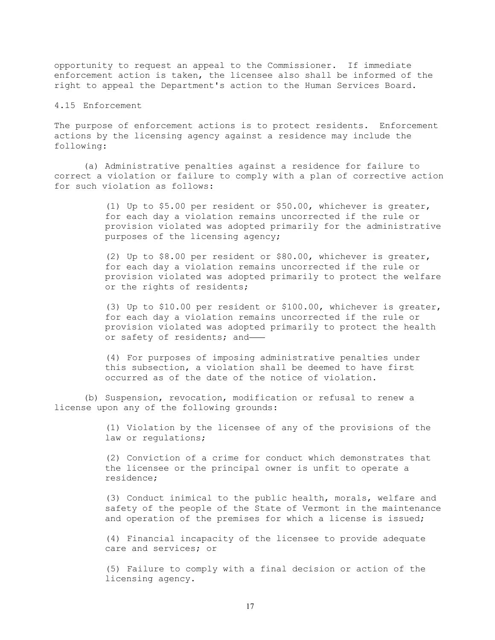opportunity to request an appeal to the Commissioner. If immediate enforcement action is taken, the licensee also shall be informed of the right to appeal the Department's action to the Human Services Board.

## 4.15 Enforcement

The purpose of enforcement actions is to protect residents. Enforcement actions by the licensing agency against a residence may include the following:

(a) Administrative penalties against a residence for failure to correct a violation or failure to comply with a plan of corrective action for such violation as follows:

> (1) Up to \$5.00 per resident or \$50.00, whichever is greater, for each day a violation remains uncorrected if the rule or provision violated was adopted primarily for the administrative purposes of the licensing agency;

> (2) Up to \$8.00 per resident or \$80.00, whichever is greater, for each day a violation remains uncorrected if the rule or provision violated was adopted primarily to protect the welfare or the rights of residents;

> (3) Up to \$10.00 per resident or \$100.00, whichever is greater, for each day a violation remains uncorrected if the rule or provision violated was adopted primarily to protect the health or safety of residents; and

(4) For purposes of imposing administrative penalties under this subsection, a violation shall be deemed to have first occurred as of the date of the notice of violation.

(b) Suspension, revocation, modification or refusal to renew a license upon any of the following grounds:

> (1) Violation by the licensee of any of the provisions of the law or regulations;

> (2) Conviction of a crime for conduct which demonstrates that the licensee or the principal owner is unfit to operate a residence;

(3) Conduct inimical to the public health, morals, welfare and safety of the people of the State of Vermont in the maintenance and operation of the premises for which a license is issued;

(4) Financial incapacity of the licensee to provide adequate care and services; or

(5) Failure to comply with a final decision or action of the licensing agency.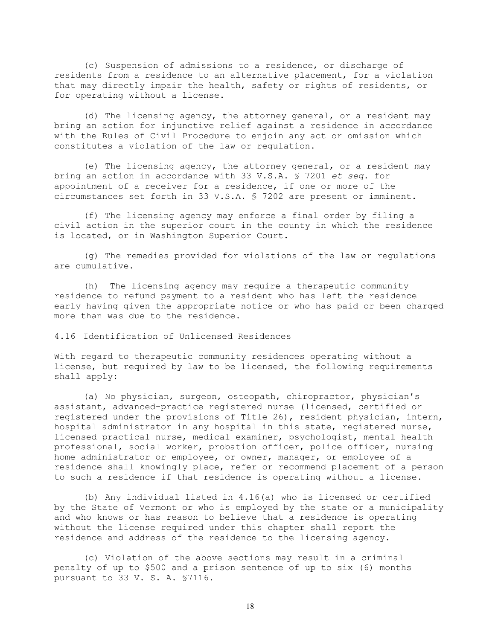(c) Suspension of admissions to a residence, or discharge of residents from a residence to an alternative placement, for a violation that may directly impair the health, safety or rights of residents, or for operating without a license.

(d) The licensing agency, the attorney general, or a resident may bring an action for injunctive relief against a residence in accordance with the Rules of Civil Procedure to enjoin any act or omission which constitutes a violation of the law or regulation.

(e) The licensing agency, the attorney general, or a resident may bring an action in accordance with 33 V.S.A. § 7201 *et seq.* for appointment of a receiver for a residence, if one or more of the circumstances set forth in 33 V.S.A. § 7202 are present or imminent.

(f) The licensing agency may enforce a final order by filing a civil action in the superior court in the county in which the residence is located, or in Washington Superior Court.

(g) The remedies provided for violations of the law or regulations are cumulative.

(h) The licensing agency may require a therapeutic community residence to refund payment to a resident who has left the residence early having given the appropriate notice or who has paid or been charged more than was due to the residence.

4.16 Identification of Unlicensed Residences

With regard to therapeutic community residences operating without a license, but required by law to be licensed, the following requirements shall apply:

(a) No physician, surgeon, osteopath, chiropractor, physician's assistant, advanced-practice registered nurse (licensed, certified or registered under the provisions of Title 26), resident physician, intern, hospital administrator in any hospital in this state, registered nurse, licensed practical nurse, medical examiner, psychologist, mental health professional, social worker, probation officer, police officer, nursing home administrator or employee, or owner, manager, or employee of a residence shall knowingly place, refer or recommend placement of a person to such a residence if that residence is operating without a license.

(b) Any individual listed in 4.16(a) who is licensed or certified by the State of Vermont or who is employed by the state or a municipality and who knows or has reason to believe that a residence is operating without the license required under this chapter shall report the residence and address of the residence to the licensing agency.

(c) Violation of the above sections may result in a criminal penalty of up to \$500 and a prison sentence of up to six (6) months pursuant to 33 V. S. A. §7116.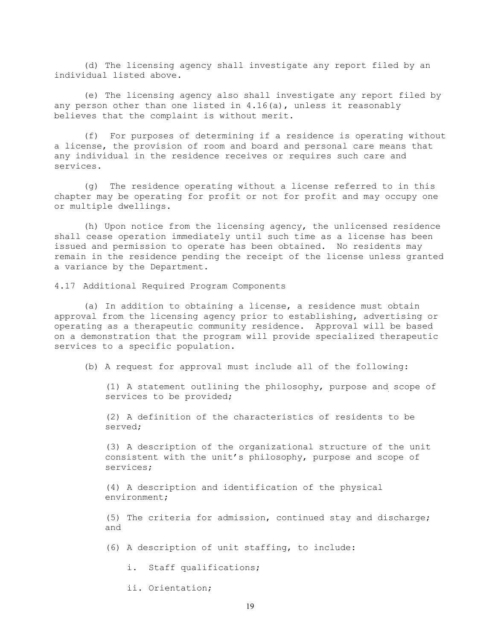(d) The licensing agency shall investigate any report filed by an individual listed above.

(e) The licensing agency also shall investigate any report filed by any person other than one listed in  $4.16(a)$ , unless it reasonably believes that the complaint is without merit.

(f) For purposes of determining if a residence is operating without a license, the provision of room and board and personal care means that any individual in the residence receives or requires such care and services.

(g) The residence operating without a license referred to in this chapter may be operating for profit or not for profit and may occupy one or multiple dwellings.

(h) Upon notice from the licensing agency, the unlicensed residence shall cease operation immediately until such time as a license has been issued and permission to operate has been obtained. No residents may remain in the residence pending the receipt of the license unless granted a variance by the Department.

4.17 Additional Required Program Components

(a) In addition to obtaining a license, a residence must obtain approval from the licensing agency prior to establishing, advertising or operating as a therapeutic community residence. Approval will be based on a demonstration that the program will provide specialized therapeutic services to a specific population.

(b) A request for approval must include all of the following:

(1) A statement outlining the philosophy, purpose and scope of services to be provided;

(2) A definition of the characteristics of residents to be served;

(3) A description of the organizational structure of the unit consistent with the unit's philosophy, purpose and scope of services;

(4) A description and identification of the physical environment;

(5) The criteria for admission, continued stay and discharge; and

(6) A description of unit staffing, to include:

i. Staff qualifications;

ii. Orientation;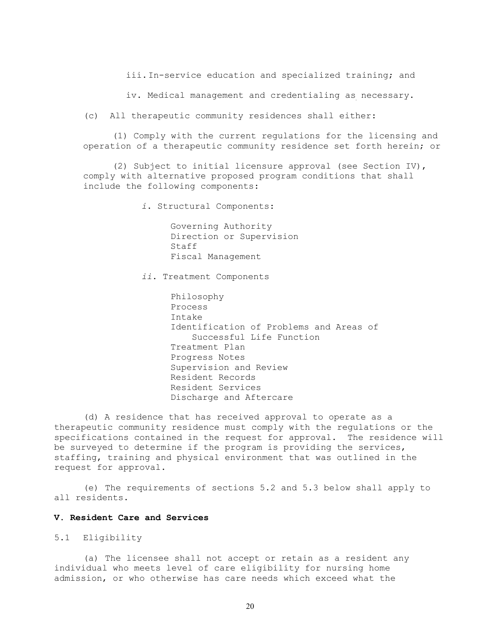iii.In-service education and specialized training; and

iv. Medical management and credentialing as necessary.

(c) All therapeutic community residences shall either:

(1) Comply with the current regulations for the licensing and operation of a therapeutic community residence set forth herein; or

(2) Subject to initial licensure approval (see Section IV), comply with alternative proposed program conditions that shall include the following components:

*i*. Structural Components:

Governing Authority Direction or Supervision Staff Fiscal Management

*ii*. Treatment Components

Philosophy Process Intake Identification of Problems and Areas of Successful Life Function Treatment Plan Progress Notes Supervision and Review Resident Records Resident Services Discharge and Aftercare

(d) A residence that has received approval to operate as a therapeutic community residence must comply with the regulations or the specifications contained in the request for approval. The residence will be surveyed to determine if the program is providing the services, staffing, training and physical environment that was outlined in the request for approval.

(e) The requirements of sections 5.2 and 5.3 below shall apply to all residents.

# **V. Resident Care and Services**

5.1 Eligibility

(a) The licensee shall not accept or retain as a resident any individual who meets level of care eligibility for nursing home admission, or who otherwise has care needs which exceed what the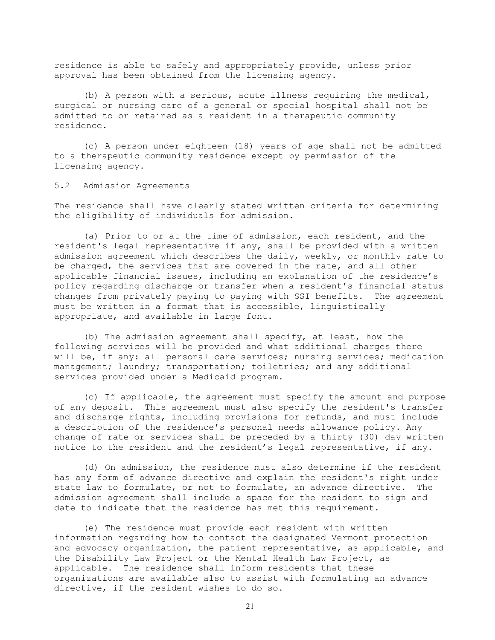residence is able to safely and appropriately provide, unless prior approval has been obtained from the licensing agency.

(b) A person with a serious, acute illness requiring the medical, surgical or nursing care of a general or special hospital shall not be admitted to or retained as a resident in a therapeutic community residence.

(c) A person under eighteen (18) years of age shall not be admitted to a therapeutic community residence except by permission of the licensing agency.

5.2 Admission Agreements

The residence shall have clearly stated written criteria for determining the eligibility of individuals for admission.

(a) Prior to or at the time of admission, each resident, and the resident's legal representative if any, shall be provided with a written admission agreement which describes the daily, weekly, or monthly rate to be charged, the services that are covered in the rate, and all other applicable financial issues, including an explanation of the residence's policy regarding discharge or transfer when a resident's financial status changes from privately paying to paying with SSI benefits. The agreement must be written in a format that is accessible, linguistically appropriate, and available in large font.

(b) The admission agreement shall specify, at least, how the following services will be provided and what additional charges there will be, if any: all personal care services; nursing services; medication management; laundry; transportation; toiletries; and any additional services provided under a Medicaid program.

(c) If applicable, the agreement must specify the amount and purpose of any deposit. This agreement must also specify the resident's transfer and discharge rights, including provisions for refunds, and must include a description of the residence's personal needs allowance policy. Any change of rate or services shall be preceded by a thirty (30) day written notice to the resident and the resident's legal representative, if any.

(d) On admission, the residence must also determine if the resident has any form of advance directive and explain the resident's right under state law to formulate, or not to formulate, an advance directive. The admission agreement shall include a space for the resident to sign and date to indicate that the residence has met this requirement.

(e) The residence must provide each resident with written information regarding how to contact the designated Vermont protection and advocacy organization, the patient representative, as applicable, and the Disability Law Project or the Mental Health Law Project, as applicable. The residence shall inform residents that these organizations are available also to assist with formulating an advance directive, if the resident wishes to do so.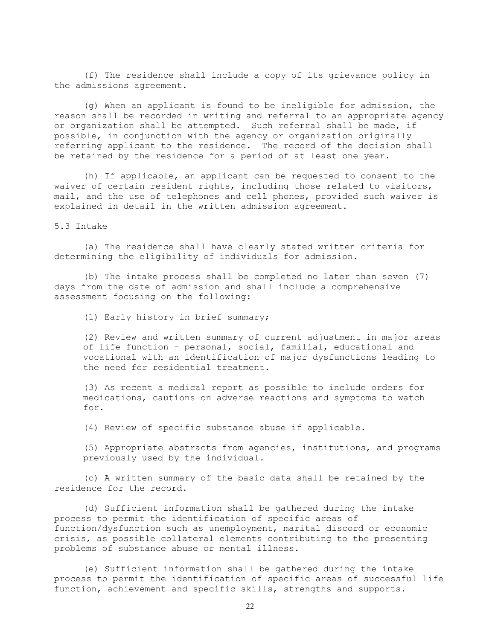(f) The residence shall include a copy of its grievance policy in the admissions agreement.

(g) When an applicant is found to be ineligible for admission, the reason shall be recorded in writing and referral to an appropriate agency or organization shall be attempted. Such referral shall be made, if possible, in conjunction with the agency or organization originally referring applicant to the residence. The record of the decision shall be retained by the residence for a period of at least one year.

(h) If applicable, an applicant can be requested to consent to the waiver of certain resident rights, including those related to visitors, mail, and the use of telephones and cell phones, provided such waiver is explained in detail in the written admission agreement.

5.3 Intake

(a) The residence shall have clearly stated written criteria for determining the eligibility of individuals for admission.

(b) The intake process shall be completed no later than seven (7) days from the date of admission and shall include a comprehensive assessment focusing on the following:

(1) Early history in brief summary;

(2) Review and written summary of current adjustment in major areas of life function – personal, social, familial, educational and vocational with an identification of major dysfunctions leading to the need for residential treatment.

(3) As recent a medical report as possible to include orders for medications, cautions on adverse reactions and symptoms to watch for.

(4) Review of specific substance abuse if applicable.

(5) Appropriate abstracts from agencies, institutions, and programs previously used by the individual.

(c) A written summary of the basic data shall be retained by the residence for the record.

(d) Sufficient information shall be gathered during the intake process to permit the identification of specific areas of function/dysfunction such as unemployment, marital discord or economic crisis, as possible collateral elements contributing to the presenting problems of substance abuse or mental illness.

(e) Sufficient information shall be gathered during the intake process to permit the identification of specific areas of successful life function, achievement and specific skills, strengths and supports.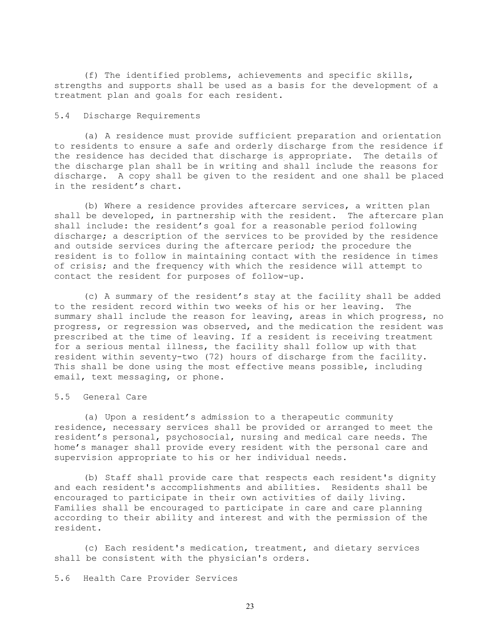(f) The identified problems, achievements and specific skills, strengths and supports shall be used as a basis for the development of a treatment plan and goals for each resident.

# 5.4 Discharge Requirements

(a) A residence must provide sufficient preparation and orientation to residents to ensure a safe and orderly discharge from the residence if the residence has decided that discharge is appropriate. The details of the discharge plan shall be in writing and shall include the reasons for discharge. A copy shall be given to the resident and one shall be placed in the resident's chart.

(b) Where a residence provides aftercare services, a written plan shall be developed, in partnership with the resident. The aftercare plan shall include: the resident's goal for a reasonable period following discharge; a description of the services to be provided by the residence and outside services during the aftercare period; the procedure the resident is to follow in maintaining contact with the residence in times of crisis; and the frequency with which the residence will attempt to contact the resident for purposes of follow-up.

(c) A summary of the resident's stay at the facility shall be added<br>e resident record within two weeks of his or her leaving. The to the resident record within two weeks of his or her leaving. summary shall include the reason for leaving, areas in which progress, no progress, or regression was observed, and the medication the resident was prescribed at the time of leaving. If a resident is receiving treatment for a serious mental illness, the facility shall follow up with that resident within seventy-two (72) hours of discharge from the facility. This shall be done using the most effective means possible, including email, text messaging, or phone.

# 5.5 General Care

(a) Upon a resident's admission to a therapeutic community residence, necessary services shall be provided or arranged to meet the resident's personal, psychosocial, nursing and medical care needs. The home's manager shall provide every resident with the personal care and supervision appropriate to his or her individual needs.

(b) Staff shall provide care that respects each resident's dignity and each resident's accomplishments and abilities. Residents shall be encouraged to participate in their own activities of daily living. Families shall be encouraged to participate in care and care planning according to their ability and interest and with the permission of the resident.

(c) Each resident's medication, treatment, and dietary services shall be consistent with the physician's orders.

5.6 Health Care Provider Services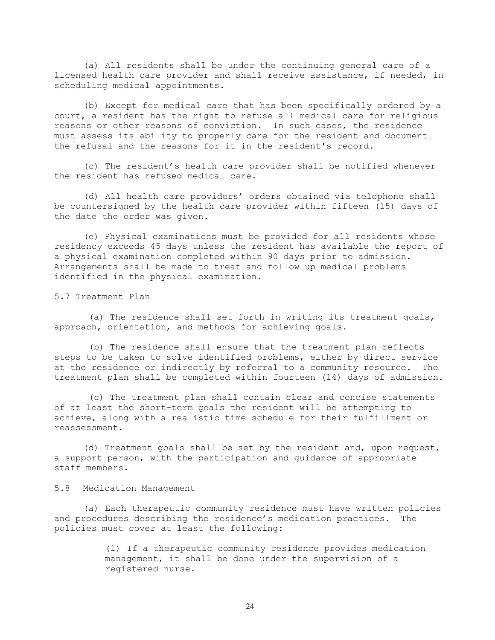(a) All residents shall be under the continuing general care of a licensed health care provider and shall receive assistance, if needed, in scheduling medical appointments.

(b) Except for medical care that has been specifically ordered by a court, a resident has the right to refuse all medical care for religious reasons or other reasons of conviction. In such cases, the residence must assess its ability to properly care for the resident and document the refusal and the reasons for it in the resident's record.

(c) The resident's health care provider shall be notified whenever the resident has refused medical care.

(d) All health care providers' orders obtained via telephone shall be countersigned by the health care provider within fifteen (15) days of the date the order was given.

(e) Physical examinations must be provided for all residents whose residency exceeds 45 days unless the resident has available the report of a physical examination completed within 90 days prior to admission. Arrangements shall be made to treat and follow up medical problems identified in the physical examination.

5.7 Treatment Plan

(a) The residence shall set forth in writing its treatment goals, approach, orientation, and methods for achieving goals.

(b) The residence shall ensure that the treatment plan reflects steps to be taken to solve identified problems, either by direct service at the residence or indirectly by referral to a community resource. The treatment plan shall be completed within fourteen (14) days of admission.

(c) The treatment plan shall contain clear and concise statements of at least the short-term goals the resident will be attempting to achieve, along with a realistic time schedule for their fulfillment or reassessment.

(d) Treatment goals shall be set by the resident and, upon request, a support person, with the participation and guidance of appropriate staff members.

5.8 Medication Management

(a) Each therapeutic community residence must have written policies and procedures describing the residence's medication practices. The policies must cover at least the following:

> (1) If a therapeutic community residence provides medication management, it shall be done under the supervision of a registered nurse.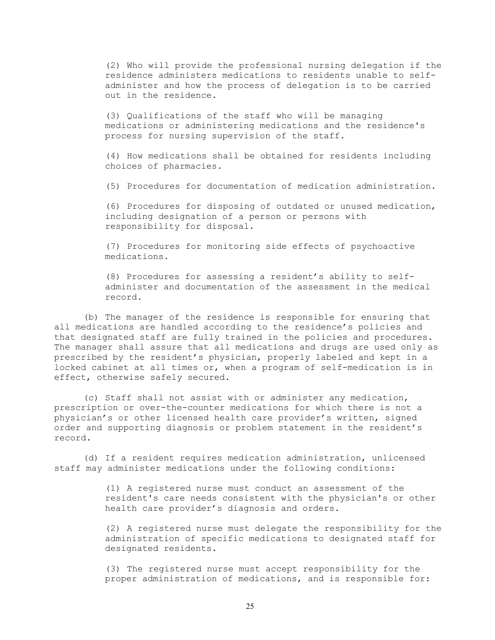(2) Who will provide the professional nursing delegation if the residence administers medications to residents unable to selfadminister and how the process of delegation is to be carried out in the residence.

(3) Qualifications of the staff who will be managing medications or administering medications and the residence's process for nursing supervision of the staff.

(4) How medications shall be obtained for residents including choices of pharmacies.

(5) Procedures for documentation of medication administration.

(6) Procedures for disposing of outdated or unused medication, including designation of a person or persons with responsibility for disposal.

(7) Procedures for monitoring side effects of psychoactive medications.

(8) Procedures for assessing a resident's ability to selfadminister and documentation of the assessment in the medical record.

(b) The manager of the residence is responsible for ensuring that all medications are handled according to the residence's policies and that designated staff are fully trained in the policies and procedures. The manager shall assure that all medications and drugs are used only as prescribed by the resident's physician, properly labeled and kept in a locked cabinet at all times or, when a program of self-medication is in effect, otherwise safely secured.

(c) Staff shall not assist with or administer any medication, prescription or over-the-counter medications for which there is not a physician's or other licensed health care provider's written, signed order and supporting diagnosis or problem statement in the resident's record.

(d) If a resident requires medication administration, unlicensed staff may administer medications under the following conditions:

> (1) A registered nurse must conduct an assessment of the resident's care needs consistent with the physician's or other health care provider's diagnosis and orders.

(2) A registered nurse must delegate the responsibility for the administration of specific medications to designated staff for designated residents.

(3) The registered nurse must accept responsibility for the proper administration of medications, and is responsible for: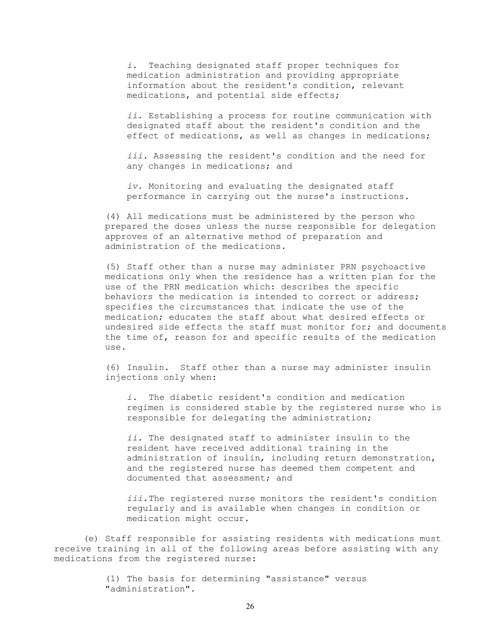*i*. Teaching designated staff proper techniques for medication administration and providing appropriate information about the resident's condition, relevant medications, and potential side effects;

*ii*. Establishing a process for routine communication with designated staff about the resident's condition and the effect of medications, as well as changes in medications;

*iii*. Assessing the resident's condition and the need for any changes in medications; and

*iv*. Monitoring and evaluating the designated staff performance in carrying out the nurse's instructions.

(4) All medications must be administered by the person who prepared the doses unless the nurse responsible for delegation approves of an alternative method of preparation and administration of the medications.

(5) Staff other than a nurse may administer PRN psychoactive medications only when the residence has a written plan for the use of the PRN medication which: describes the specific behaviors the medication is intended to correct or address; specifies the circumstances that indicate the use of the medication; educates the staff about what desired effects or undesired side effects the staff must monitor for; and documents the time of, reason for and specific results of the medication use.

(6) Insulin. Staff other than a nurse may administer insulin injections only when:

*i.* The diabetic resident's condition and medication regimen is considered stable by the registered nurse who is responsible for delegating the administration;

*ii.* The designated staff to administer insulin to the resident have received additional training in the administration of insulin, including return demonstration, and the registered nurse has deemed them competent and documented that assessment; and

*iii.*The registered nurse monitors the resident's condition regularly and is available when changes in condition or medication might occur.

(e) Staff responsible for assisting residents with medications must receive training in all of the following areas before assisting with any medications from the registered nurse:

> (1) The basis for determining "assistance" versus "administration".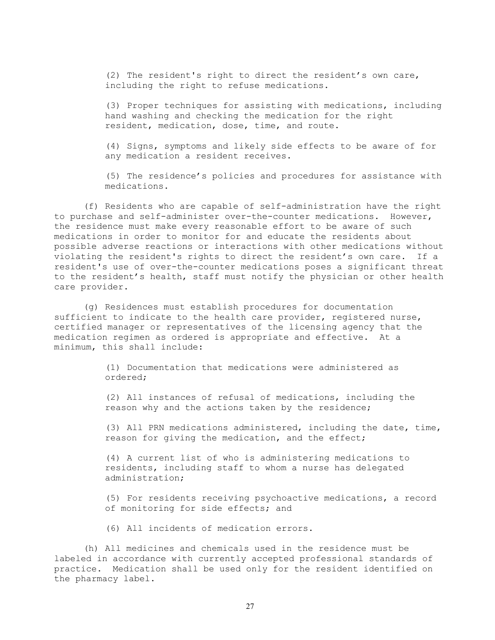(2) The resident's right to direct the resident's own care, including the right to refuse medications.

(3) Proper techniques for assisting with medications, including hand washing and checking the medication for the right resident, medication, dose, time, and route.

(4) Signs, symptoms and likely side effects to be aware of for any medication a resident receives.

(5) The residence's policies and procedures for assistance with medications.

(f) Residents who are capable of self-administration have the right to purchase and self-administer over-the-counter medications. However, the residence must make every reasonable effort to be aware of such medications in order to monitor for and educate the residents about possible adverse reactions or interactions with other medications without violating the resident's rights to direct the resident's own care. If a resident's use of over-the-counter medications poses a significant threat to the resident's health, staff must notify the physician or other health care provider.

(g) Residences must establish procedures for documentation sufficient to indicate to the health care provider, registered nurse, certified manager or representatives of the licensing agency that the medication regimen as ordered is appropriate and effective. At a minimum, this shall include:

> (1) Documentation that medications were administered as ordered;

(2) All instances of refusal of medications, including the reason why and the actions taken by the residence;

(3) All PRN medications administered, including the date, time, reason for giving the medication, and the effect;

(4) A current list of who is administering medications to residents, including staff to whom a nurse has delegated administration;

(5) For residents receiving psychoactive medications, a record of monitoring for side effects; and

(6) All incidents of medication errors.

(h) All medicines and chemicals used in the residence must be labeled in accordance with currently accepted professional standards of practice. Medication shall be used only for the resident identified on the pharmacy label.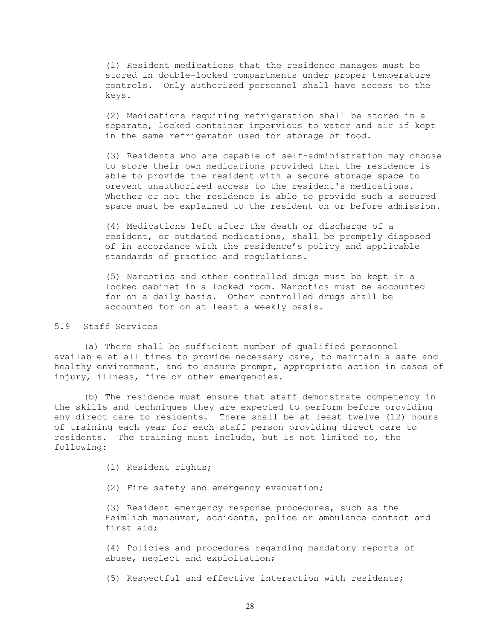(1) Resident medications that the residence manages must be stored in double-locked compartments under proper temperature controls. Only authorized personnel shall have access to the keys.

(2) Medications requiring refrigeration shall be stored in a separate, locked container impervious to water and air if kept in the same refrigerator used for storage of food.

(3) Residents who are capable of self-administration may choose to store their own medications provided that the residence is able to provide the resident with a secure storage space to prevent unauthorized access to the resident's medications. Whether or not the residence is able to provide such a secured space must be explained to the resident on or before admission.

(4) Medications left after the death or discharge of a resident, or outdated medications, shall be promptly disposed of in accordance with the residence's policy and applicable standards of practice and regulations.

(5) Narcotics and other controlled drugs must be kept in a locked cabinet in a locked room. Narcotics must be accounted for on a daily basis. Other controlled drugs shall be accounted for on at least a weekly basis.

# 5.9 Staff Services

(a) There shall be sufficient number of qualified personnel available at all times to provide necessary care, to maintain a safe and healthy environment, and to ensure prompt, appropriate action in cases of injury, illness, fire or other emergencies.

(b) The residence must ensure that staff demonstrate competency in the skills and techniques they are expected to perform before providing any direct care to residents. There shall be at least twelve (12) hours of training each year for each staff person providing direct care to residents. The training must include, but is not limited to, the following:

(1) Resident rights;

(2) Fire safety and emergency evacuation;

(3) Resident emergency response procedures, such as the Heimlich maneuver, accidents, police or ambulance contact and first aid;

(4) Policies and procedures regarding mandatory reports of abuse, neglect and exploitation;

(5) Respectful and effective interaction with residents;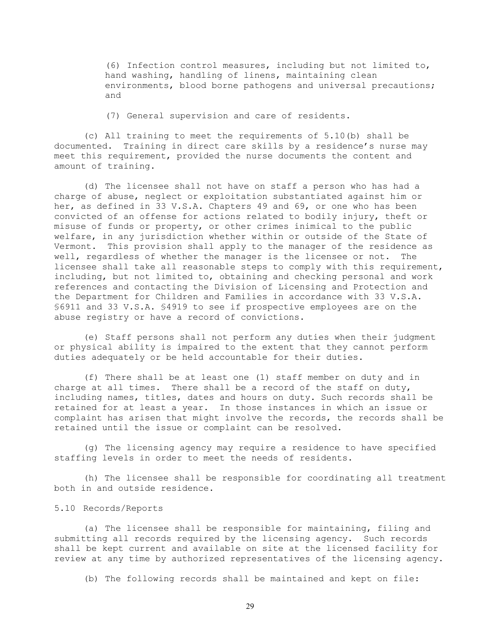(6) Infection control measures, including but not limited to, hand washing, handling of linens, maintaining clean environments, blood borne pathogens and universal precautions; and

(7) General supervision and care of residents.

(c) All training to meet the requirements of 5.10(b) shall be documented. Training in direct care skills by a residence's nurse may meet this requirement, provided the nurse documents the content and amount of training.

(d) The licensee shall not have on staff a person who has had a charge of abuse, neglect or exploitation substantiated against him or her, as defined in 33 V.S.A. Chapters 49 and 69, or one who has been convicted of an offense for actions related to bodily injury, theft or misuse of funds or property, or other crimes inimical to the public welfare, in any jurisdiction whether within or outside of the State of Vermont. This provision shall apply to the manager of the residence as<br>well, regardless of whether the manager is the licensee or not. The well, regardless of whether the manager is the licensee or not. licensee shall take all reasonable steps to comply with this requirement, including, but not limited to, obtaining and checking personal and work references and contacting the Division of Licensing and Protection and the Department for Children and Families in accordance with 33 V.S.A. §6911 and 33 V.S.A. §4919 to see if prospective employees are on the abuse registry or have a record of convictions.

(e) Staff persons shall not perform any duties when their judgment or physical ability is impaired to the extent that they cannot perform duties adequately or be held accountable for their duties.

(f) There shall be at least one (1) staff member on duty and in charge at all times. There shall be a record of the staff on duty, including names, titles, dates and hours on duty. Such records shall be retained for at least a year. In those instances in which an issue or complaint has arisen that might involve the records, the records shall be retained until the issue or complaint can be resolved.

(g) The licensing agency may require a residence to have specified staffing levels in order to meet the needs of residents.

(h) The licensee shall be responsible for coordinating all treatment both in and outside residence.

# 5.10 Records/Reports

(a) The licensee shall be responsible for maintaining, filing and submitting all records required by the licensing agency. Such records shall be kept current and available on site at the licensed facility for review at any time by authorized representatives of the licensing agency.

(b) The following records shall be maintained and kept on file: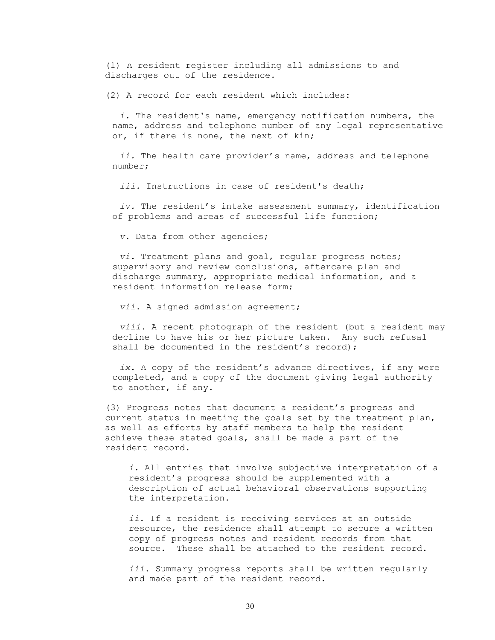(1) A resident register including all admissions to and discharges out of the residence.

(2) A record for each resident which includes:

*i.* The resident's name, emergency notification numbers, the name, address and telephone number of any legal representative or, if there is none, the next of kin;

*ii.* The health care provider's name, address and telephone number;

*iii.* Instructions in case of resident's death;

*iv.* The resident's intake assessment summary, identification of problems and areas of successful life function;

*v.* Data from other agencies;

*vi.* Treatment plans and goal, regular progress notes; supervisory and review conclusions, aftercare plan and discharge summary, appropriate medical information, and a resident information release form;

*vii.* A signed admission agreement;

*viii.* A recent photograph of the resident (but a resident may decline to have his or her picture taken. Any such refusal shall be documented in the resident's record);

*ix.* A copy of the resident's advance directives, if any were completed, and a copy of the document giving legal authority to another, if any.

(3) Progress notes that document a resident's progress and current status in meeting the goals set by the treatment plan, as well as efforts by staff members to help the resident achieve these stated goals, shall be made a part of the resident record.

*i*. All entries that involve subjective interpretation of a resident's progress should be supplemented with a description of actual behavioral observations supporting the interpretation.

*ii*. If a resident is receiving services at an outside resource, the residence shall attempt to secure a written copy of progress notes and resident records from that source. These shall be attached to the resident record.

*iii*. Summary progress reports shall be written regularly and made part of the resident record.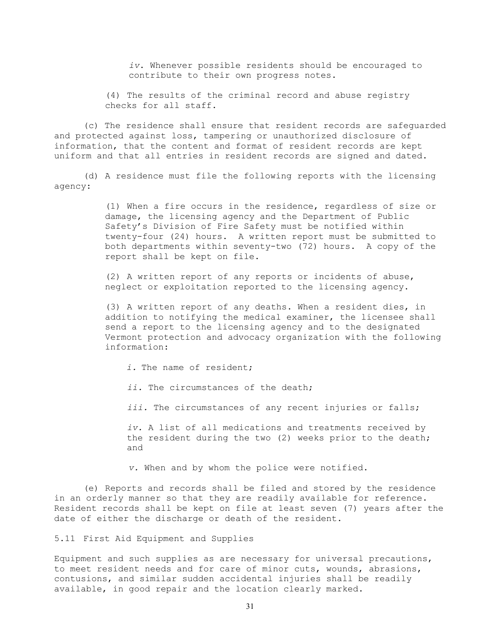*iv*. Whenever possible residents should be encouraged to contribute to their own progress notes.

(4) The results of the criminal record and abuse registry checks for all staff.

(c) The residence shall ensure that resident records are safeguarded and protected against loss, tampering or unauthorized disclosure of information, that the content and format of resident records are kept uniform and that all entries in resident records are signed and dated.

(d) A residence must file the following reports with the licensing agency:

> (1) When a fire occurs in the residence, regardless of size or damage, the licensing agency and the Department of Public Safety's Division of Fire Safety must be notified within twenty-four (24) hours. A written report must be submitted to both departments within seventy-two (72) hours. A copy of the report shall be kept on file.

(2) A written report of any reports or incidents of abuse, neglect or exploitation reported to the licensing agency.

(3) A written report of any deaths. When a resident dies, in addition to notifying the medical examiner, the licensee shall send a report to the licensing agency and to the designated Vermont protection and advocacy organization with the following information:

*i.* The name of resident; *ii.* The circumstances of the death; *iii.* The circumstances of any recent injuries or falls; *iv.* A list of all medications and treatments received by the resident during the two (2) weeks prior to the death; and

*v.* When and by whom the police were notified.

(e) Reports and records shall be filed and stored by the residence in an orderly manner so that they are readily available for reference. Resident records shall be kept on file at least seven (7) years after the date of either the discharge or death of the resident.

5.11 First Aid Equipment and Supplies

Equipment and such supplies as are necessary for universal precautions, to meet resident needs and for care of minor cuts, wounds, abrasions, contusions, and similar sudden accidental injuries shall be readily available, in good repair and the location clearly marked.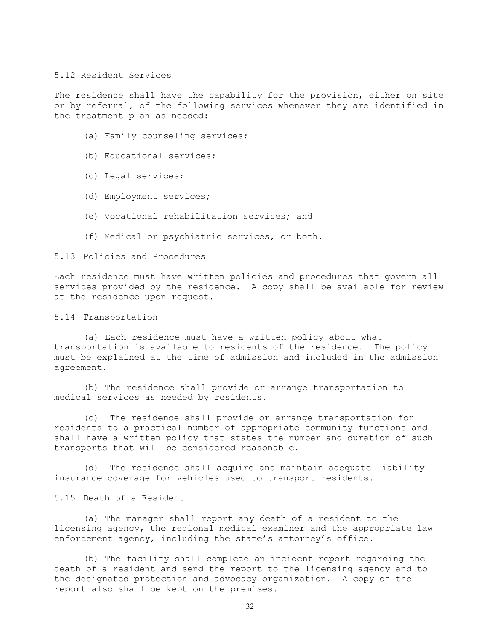## 5.12 Resident Services

The residence shall have the capability for the provision, either on site or by referral, of the following services whenever they are identified in the treatment plan as needed:

- (a) Family counseling services;
- (b) Educational services;
- (c) Legal services;
- (d) Employment services;
- (e) Vocational rehabilitation services; and
- (f) Medical or psychiatric services, or both.

#### 5.13 Policies and Procedures

Each residence must have written policies and procedures that govern all services provided by the residence. A copy shall be available for review at the residence upon request.

#### 5.14 Transportation

(a) Each residence must have a written policy about what transportation is available to residents of the residence. The policy must be explained at the time of admission and included in the admission agreement.

(b) The residence shall provide or arrange transportation to medical services as needed by residents.

(c) The residence shall provide or arrange transportation for residents to a practical number of appropriate community functions and shall have a written policy that states the number and duration of such transports that will be considered reasonable.

(d) The residence shall acquire and maintain adequate liability insurance coverage for vehicles used to transport residents.

5.15 Death of a Resident

(a) The manager shall report any death of a resident to the licensing agency, the regional medical examiner and the appropriate law enforcement agency, including the state's attorney's office.

(b) The facility shall complete an incident report regarding the death of a resident and send the report to the licensing agency and to the designated protection and advocacy organization. A copy of the report also shall be kept on the premises.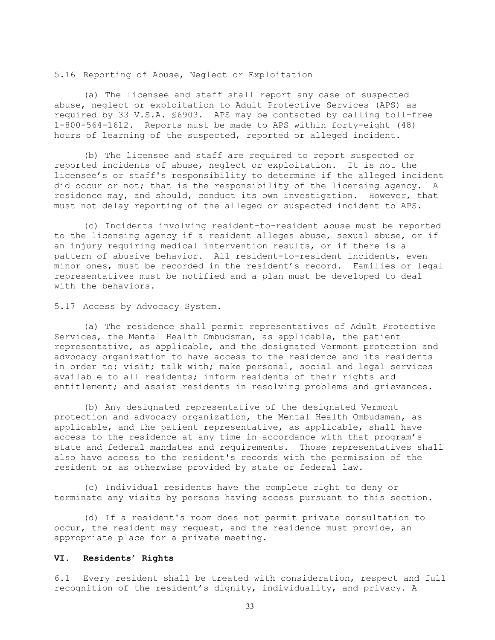## 5.16 Reporting of Abuse, Neglect or Exploitation

(a) The licensee and staff shall report any case of suspected abuse, neglect or exploitation to Adult Protective Services (APS) as required by 33 V.S.A. §6903. APS may be contacted by calling toll-free 1-800-564-1612. Reports must be made to APS within forty-eight (48) hours of learning of the suspected, reported or alleged incident.

(b) The licensee and staff are required to report suspected or reported incidents of abuse, neglect or exploitation. It is not the licensee's or staff's responsibility to determine if the alleged incident did occur or not; that is the responsibility of the licensing agency. A residence may, and should, conduct its own investigation. However, that must not delay reporting of the alleged or suspected incident to APS.

(c) Incidents involving resident-to-resident abuse must be reported to the licensing agency if a resident alleges abuse, sexual abuse, or if an injury requiring medical intervention results, or if there is a pattern of abusive behavior. All resident-to-resident incidents, even minor ones, must be recorded in the resident's record. Families or legal representatives must be notified and a plan must be developed to deal with the behaviors.

5.17 Access by Advocacy System.

(a) The residence shall permit representatives of Adult Protective Services, the Mental Health Ombudsman, as applicable, the patient representative, as applicable, and the designated Vermont protection and advocacy organization to have access to the residence and its residents in order to: visit; talk with; make personal, social and legal services available to all residents; inform residents of their rights and entitlement; and assist residents in resolving problems and grievances.

(b) Any designated representative of the designated Vermont protection and advocacy organization, the Mental Health Ombudsman, as applicable, and the patient representative, as applicable, shall have access to the residence at any time in accordance with that program's state and federal mandates and requirements. Those representatives shall also have access to the resident's records with the permission of the resident or as otherwise provided by state or federal law.

(c) Individual residents have the complete right to deny or terminate any visits by persons having access pursuant to this section.

(d) If a resident's room does not permit private consultation to occur, the resident may request, and the residence must provide, an appropriate place for a private meeting.

# **VI. Residents' Rights**

6.1 Every resident shall be treated with consideration, respect and full recognition of the resident's dignity, individuality, and privacy. A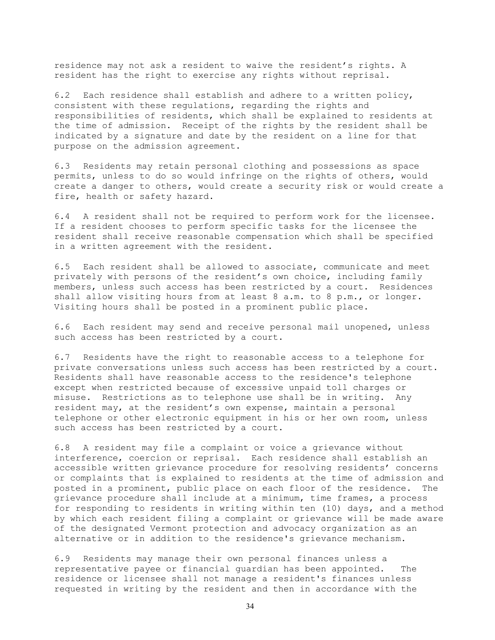residence may not ask a resident to waive the resident's rights. A resident has the right to exercise any rights without reprisal.

6.2 Each residence shall establish and adhere to a written policy, consistent with these regulations, regarding the rights and responsibilities of residents, which shall be explained to residents at the time of admission. Receipt of the rights by the resident shall be indicated by a signature and date by the resident on a line for that purpose on the admission agreement.

6.3 Residents may retain personal clothing and possessions as space permits, unless to do so would infringe on the rights of others, would create a danger to others, would create a security risk or would create a fire, health or safety hazard.

6.4 A resident shall not be required to perform work for the licensee. If a resident chooses to perform specific tasks for the licensee the resident shall receive reasonable compensation which shall be specified in a written agreement with the resident.

6.5 Each resident shall be allowed to associate, communicate and meet privately with persons of the resident's own choice, including family members, unless such access has been restricted by a court. Residences shall allow visiting hours from at least 8 a.m. to 8 p.m., or longer. Visiting hours shall be posted in a prominent public place.

6.6 Each resident may send and receive personal mail unopened, unless such access has been restricted by a court.

6.7 Residents have the right to reasonable access to a telephone for private conversations unless such access has been restricted by a court. Residents shall have reasonable access to the residence's telephone except when restricted because of excessive unpaid toll charges or misuse. Restrictions as to telephone use shall be in writing. Any resident may, at the resident's own expense, maintain a personal telephone or other electronic equipment in his or her own room, unless such access has been restricted by a court.

6.8 A resident may file a complaint or voice a grievance without interference, coercion or reprisal. Each residence shall establish an accessible written grievance procedure for resolving residents' concerns or complaints that is explained to residents at the time of admission and posted in a prominent, public place on each floor of the residence. The grievance procedure shall include at a minimum, time frames, a process for responding to residents in writing within ten (10) days, and a method by which each resident filing a complaint or grievance will be made aware of the designated Vermont protection and advocacy organization as an alternative or in addition to the residence's grievance mechanism.

6.9 Residents may manage their own personal finances unless a representative payee or financial guardian has been appointed. The residence or licensee shall not manage a resident's finances unless requested in writing by the resident and then in accordance with the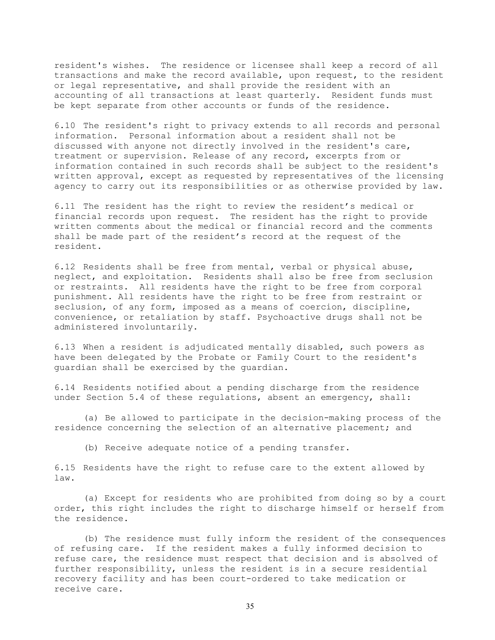resident's wishes. The residence or licensee shall keep a record of all transactions and make the record available, upon request, to the resident or legal representative, and shall provide the resident with an accounting of all transactions at least quarterly. Resident funds must be kept separate from other accounts or funds of the residence.

6.10 The resident's right to privacy extends to all records and personal information. Personal information about a resident shall not be discussed with anyone not directly involved in the resident's care, treatment or supervision. Release of any record, excerpts from or information contained in such records shall be subject to the resident's written approval, except as requested by representatives of the licensing agency to carry out its responsibilities or as otherwise provided by law.

6.11 The resident has the right to review the resident's medical or financial records upon request. The resident has the right to provide written comments about the medical or financial record and the comments shall be made part of the resident's record at the request of the resident.

6.12 Residents shall be free from mental, verbal or physical abuse, neglect, and exploitation. Residents shall also be free from seclusion or restraints. All residents have the right to be free from corporal punishment. All residents have the right to be free from restraint or seclusion, of any form, imposed as a means of coercion, discipline, convenience, or retaliation by staff. Psychoactive drugs shall not be administered involuntarily.

6.13 When a resident is adjudicated mentally disabled, such powers as have been delegated by the Probate or Family Court to the resident's guardian shall be exercised by the guardian.

6.14 Residents notified about a pending discharge from the residence under Section 5.4 of these regulations, absent an emergency, shall:

(a) Be allowed to participate in the decision-making process of the residence concerning the selection of an alternative placement; and

(b) Receive adequate notice of a pending transfer.

6.15 Residents have the right to refuse care to the extent allowed by law.

(a) Except for residents who are prohibited from doing so by a court order, this right includes the right to discharge himself or herself from the residence.

(b) The residence must fully inform the resident of the consequences of refusing care. If the resident makes a fully informed decision to refuse care, the residence must respect that decision and is absolved of further responsibility, unless the resident is in a secure residential recovery facility and has been court-ordered to take medication or receive care.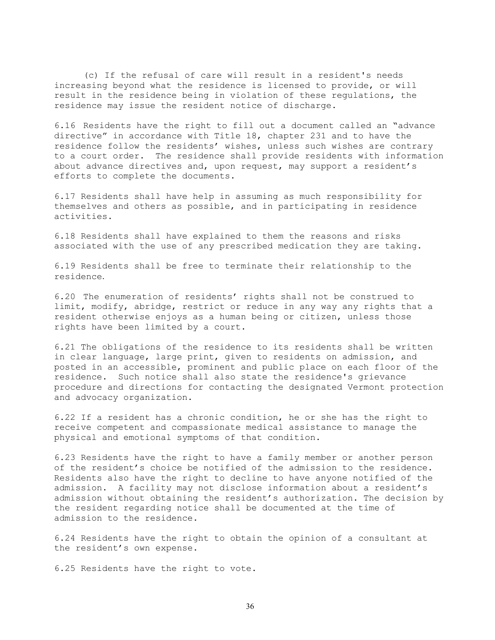(c) If the refusal of care will result in a resident's needs increasing beyond what the residence is licensed to provide, or will result in the residence being in violation of these regulations, the residence may issue the resident notice of discharge.

6.16 Residents have the right to fill out a document called an "advance directive" in accordance with Title 18, chapter 231 and to have the residence follow the residents' wishes, unless such wishes are contrary to a court order. The residence shall provide residents with information about advance directives and, upon request, may support a resident's efforts to complete the documents.

6.17 Residents shall have help in assuming as much responsibility for themselves and others as possible, and in participating in residence activities.

6.18 Residents shall have explained to them the reasons and risks associated with the use of any prescribed medication they are taking.

6.19 Residents shall be free to terminate their relationship to the residence.

6.20 The enumeration of residents' rights shall not be construed to limit, modify, abridge, restrict or reduce in any way any rights that a resident otherwise enjoys as a human being or citizen, unless those rights have been limited by a court.

6.21 The obligations of the residence to its residents shall be written in clear language, large print, given to residents on admission, and posted in an accessible, prominent and public place on each floor of the residence. Such notice shall also state the residence's grievance procedure and directions for contacting the designated Vermont protection and advocacy organization.

6.22 If a resident has a chronic condition, he or she has the right to receive competent and compassionate medical assistance to manage the physical and emotional symptoms of that condition.

6.23 Residents have the right to have a family member or another person of the resident's choice be notified of the admission to the residence. Residents also have the right to decline to have anyone notified of the admission. A facility may not disclose information about a resident's admission without obtaining the resident's authorization. The decision by the resident regarding notice shall be documented at the time of admission to the residence.

6.24 Residents have the right to obtain the opinion of a consultant at the resident's own expense.

6.25 Residents have the right to vote.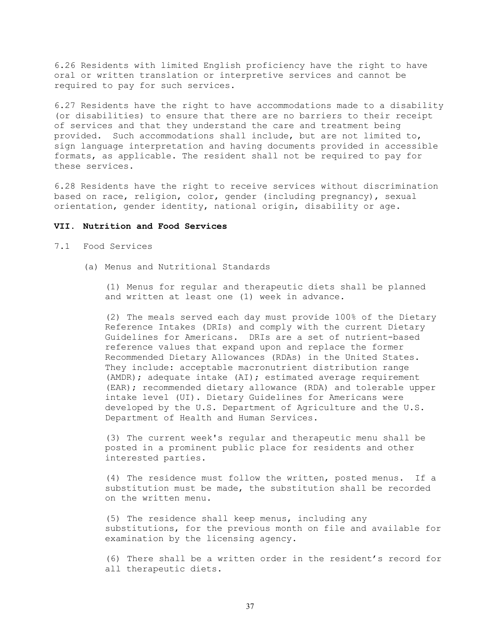6.26 Residents with limited English proficiency have the right to have oral or written translation or interpretive services and cannot be required to pay for such services.

6.27 Residents have the right to have accommodations made to a disability (or disabilities) to ensure that there are no barriers to their receipt of services and that they understand the care and treatment being provided. Such accommodations shall include, but are not limited to, sign language interpretation and having documents provided in accessible formats, as applicable. The resident shall not be required to pay for these services.

6.28 Residents have the right to receive services without discrimination based on race, religion, color, gender (including pregnancy), sexual orientation, gender identity, national origin, disability or age.

# **VII. Nutrition and Food Services**

- 7.1 Food Services
	- (a) Menus and Nutritional Standards

(1) Menus for regular and therapeutic diets shall be planned and written at least one (1) week in advance.

(2) The meals served each day must provide 100% of the Dietary Reference Intakes (DRIs) and comply with the current Dietary Guidelines for Americans. DRIs are a set of nutrient-based reference values that expand upon and replace the former Recommended Dietary Allowances (RDAs) in the United States. They include: acceptable macronutrient distribution range (AMDR); adequate intake (AI); estimated average requirement (EAR); recommended dietary allowance (RDA) and tolerable upper intake level (UI). Dietary Guidelines for Americans were developed by the U.S. Department of Agriculture and the U.S. Department of Health and Human Services.

(3) The current week's regular and therapeutic menu shall be posted in a prominent public place for residents and other interested parties.

(4) The residence must follow the written, posted menus. If a substitution must be made, the substitution shall be recorded on the written menu.

(5) The residence shall keep menus, including any substitutions, for the previous month on file and available for examination by the licensing agency.

(6) There shall be a written order in the resident's record for all therapeutic diets.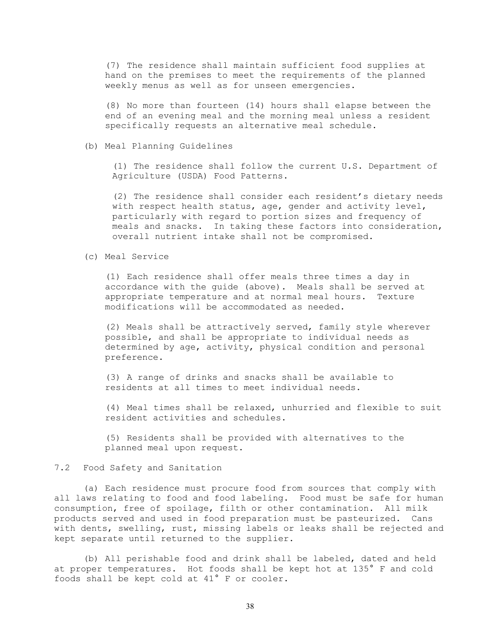(7) The residence shall maintain sufficient food supplies at hand on the premises to meet the requirements of the planned weekly menus as well as for unseen emergencies.

(8) No more than fourteen (14) hours shall elapse between the end of an evening meal and the morning meal unless a resident specifically requests an alternative meal schedule.

#### (b) Meal Planning Guidelines

(1) The residence shall follow the current U.S. Department of Agriculture (USDA) Food Patterns.

(2) The residence shall consider each resident's dietary needs with respect health status, age, gender and activity level, particularly with regard to portion sizes and frequency of meals and snacks. In taking these factors into consideration, overall nutrient intake shall not be compromised.

#### (c) Meal Service

(1) Each residence shall offer meals three times a day in accordance with the guide (above). Meals shall be served at appropriate temperature and at normal meal hours. Texture modifications will be accommodated as needed.

(2) Meals shall be attractively served, family style wherever possible, and shall be appropriate to individual needs as determined by age, activity, physical condition and personal preference.

(3) A range of drinks and snacks shall be available to residents at all times to meet individual needs.

(4) Meal times shall be relaxed, unhurried and flexible to suit resident activities and schedules.

(5) Residents shall be provided with alternatives to the planned meal upon request.

# 7.2 Food Safety and Sanitation

(a) Each residence must procure food from sources that comply with all laws relating to food and food labeling. Food must be safe for human consumption, free of spoilage, filth or other contamination. All milk products served and used in food preparation must be pasteurized. Cans with dents, swelling, rust, missing labels or leaks shall be rejected and kept separate until returned to the supplier.

(b) All perishable food and drink shall be labeled, dated and held at proper temperatures. Hot foods shall be kept hot at 135° F and cold foods shall be kept cold at 41° F or cooler.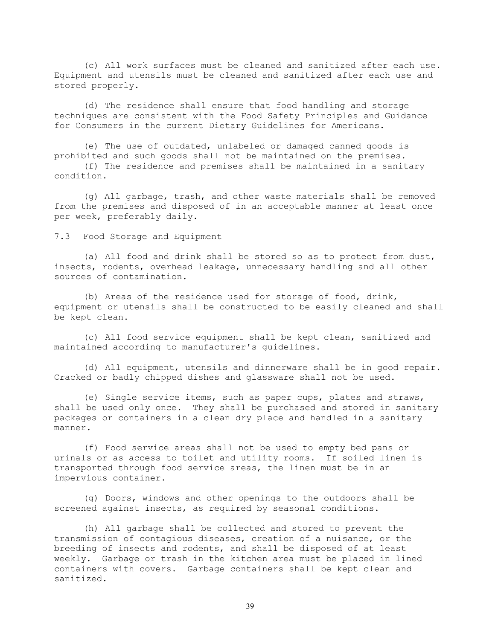(c) All work surfaces must be cleaned and sanitized after each use. Equipment and utensils must be cleaned and sanitized after each use and stored properly.

(d) The residence shall ensure that food handling and storage techniques are consistent with the Food Safety Principles and Guidance for Consumers in the current Dietary Guidelines for Americans.

(e) The use of outdated, unlabeled or damaged canned goods is prohibited and such goods shall not be maintained on the premises.

(f) The residence and premises shall be maintained in a sanitary condition.

(g) All garbage, trash, and other waste materials shall be removed from the premises and disposed of in an acceptable manner at least once per week, preferably daily.

7.3 Food Storage and Equipment

(a) All food and drink shall be stored so as to protect from dust, insects, rodents, overhead leakage, unnecessary handling and all other sources of contamination.

(b) Areas of the residence used for storage of food, drink, equipment or utensils shall be constructed to be easily cleaned and shall be kept clean.

(c) All food service equipment shall be kept clean, sanitized and maintained according to manufacturer's guidelines.

(d) All equipment, utensils and dinnerware shall be in good repair. Cracked or badly chipped dishes and glassware shall not be used.

(e) Single service items, such as paper cups, plates and straws, shall be used only once. They shall be purchased and stored in sanitary packages or containers in a clean dry place and handled in a sanitary manner.

(f) Food service areas shall not be used to empty bed pans or urinals or as access to toilet and utility rooms. If soiled linen is transported through food service areas, the linen must be in an impervious container.

(g) Doors, windows and other openings to the outdoors shall be screened against insects, as required by seasonal conditions.

(h) All garbage shall be collected and stored to prevent the transmission of contagious diseases, creation of a nuisance, or the breeding of insects and rodents, and shall be disposed of at least weekly. Garbage or trash in the kitchen area must be placed in lined containers with covers. Garbage containers shall be kept clean and sanitized.

39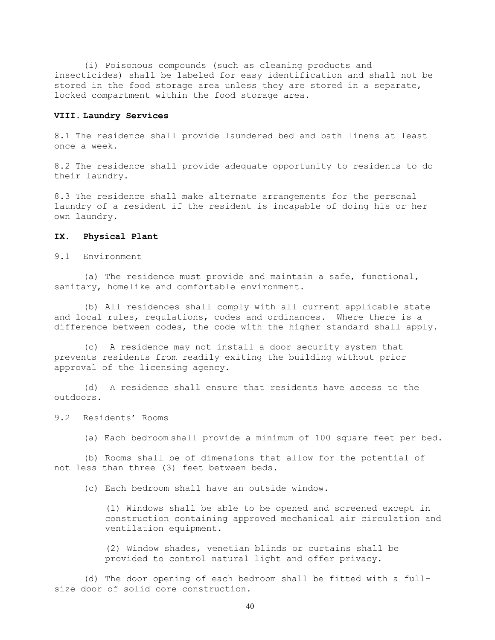(i) Poisonous compounds (such as cleaning products and insecticides) shall be labeled for easy identification and shall not be stored in the food storage area unless they are stored in a separate, locked compartment within the food storage area.

#### **VIII. Laundry Services**

8.1 The residence shall provide laundered bed and bath linens at least once a week.

8.2 The residence shall provide adequate opportunity to residents to do their laundry.

8.3 The residence shall make alternate arrangements for the personal laundry of a resident if the resident is incapable of doing his or her own laundry.

## **IX. Physical Plant**

9.1 Environment

(a) The residence must provide and maintain a safe, functional, sanitary, homelike and comfortable environment.

(b) All residences shall comply with all current applicable state and local rules, regulations, codes and ordinances. Where there is a difference between codes, the code with the higher standard shall apply.

(c) A residence may not install a door security system that prevents residents from readily exiting the building without prior approval of the licensing agency.

(d) A residence shall ensure that residents have access to the outdoors.

#### 9.2 Residents' Rooms

(a) Each bedroom shall provide a minimum of 100 square feet per bed.

(b) Rooms shall be of dimensions that allow for the potential of not less than three (3) feet between beds.

(c) Each bedroom shall have an outside window.

(1) Windows shall be able to be opened and screened except in construction containing approved mechanical air circulation and ventilation equipment.

(2) Window shades, venetian blinds or curtains shall be provided to control natural light and offer privacy.

(d) The door opening of each bedroom shall be fitted with a fullsize door of solid core construction.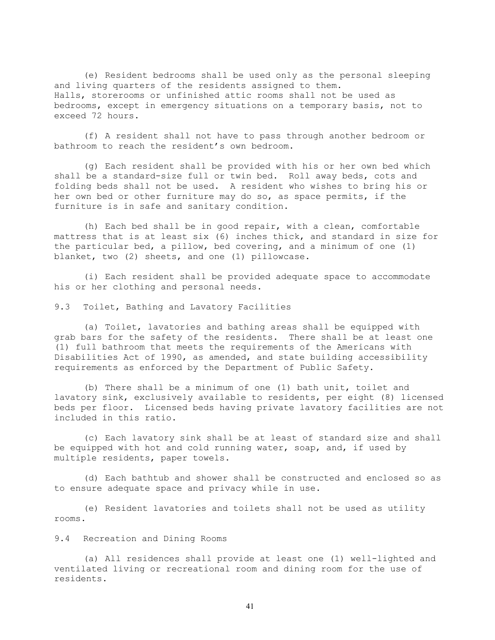(e) Resident bedrooms shall be used only as the personal sleeping and living quarters of the residents assigned to them. Halls, storerooms or unfinished attic rooms shall not be used as bedrooms, except in emergency situations on a temporary basis, not to exceed 72 hours.

(f) A resident shall not have to pass through another bedroom or bathroom to reach the resident's own bedroom.

(g) Each resident shall be provided with his or her own bed which shall be a standard-size full or twin bed. Roll away beds, cots and folding beds shall not be used. A resident who wishes to bring his or her own bed or other furniture may do so, as space permits, if the furniture is in safe and sanitary condition.

(h) Each bed shall be in good repair, with a clean, comfortable mattress that is at least six (6) inches thick, and standard in size for the particular bed, a pillow, bed covering, and a minimum of one (1) blanket, two (2) sheets, and one (1) pillowcase.

(i) Each resident shall be provided adequate space to accommodate his or her clothing and personal needs.

9.3 Toilet, Bathing and Lavatory Facilities

(a) Toilet, lavatories and bathing areas shall be equipped with grab bars for the safety of the residents. There shall be at least one (1) full bathroom that meets the requirements of the Americans with Disabilities Act of 1990, as amended, and state building accessibility requirements as enforced by the Department of Public Safety.

(b) There shall be a minimum of one (1) bath unit, toilet and lavatory sink, exclusively available to residents, per eight (8) licensed beds per floor. Licensed beds having private lavatory facilities are not included in this ratio.

(c) Each lavatory sink shall be at least of standard size and shall be equipped with hot and cold running water, soap, and, if used by multiple residents, paper towels.

(d) Each bathtub and shower shall be constructed and enclosed so as to ensure adequate space and privacy while in use.

(e) Resident lavatories and toilets shall not be used as utility rooms.

9.4 Recreation and Dining Rooms

(a) All residences shall provide at least one (1) well-lighted and ventilated living or recreational room and dining room for the use of residents.

41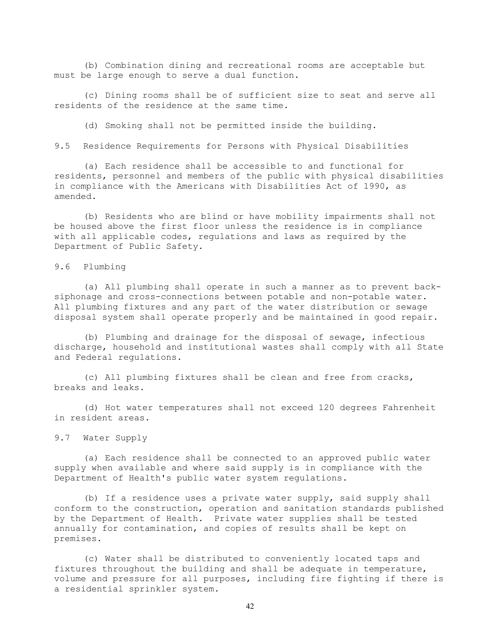(b) Combination dining and recreational rooms are acceptable but must be large enough to serve a dual function.

(c) Dining rooms shall be of sufficient size to seat and serve all residents of the residence at the same time.

(d) Smoking shall not be permitted inside the building.

9.5 Residence Requirements for Persons with Physical Disabilities

(a) Each residence shall be accessible to and functional for residents, personnel and members of the public with physical disabilities in compliance with the Americans with Disabilities Act of 1990, as amended.

(b) Residents who are blind or have mobility impairments shall not be housed above the first floor unless the residence is in compliance with all applicable codes, regulations and laws as required by the Department of Public Safety.

9.6 Plumbing

(a) All plumbing shall operate in such a manner as to prevent backsiphonage and cross-connections between potable and non-potable water. All plumbing fixtures and any part of the water distribution or sewage disposal system shall operate properly and be maintained in good repair.

(b) Plumbing and drainage for the disposal of sewage, infectious discharge, household and institutional wastes shall comply with all State and Federal regulations.

(c) All plumbing fixtures shall be clean and free from cracks, breaks and leaks.

(d) Hot water temperatures shall not exceed 120 degrees Fahrenheit in resident areas.

9.7 Water Supply

(a) Each residence shall be connected to an approved public water supply when available and where said supply is in compliance with the Department of Health's public water system regulations.

(b) If a residence uses a private water supply, said supply shall conform to the construction, operation and sanitation standards published by the Department of Health. Private water supplies shall be tested annually for contamination, and copies of results shall be kept on premises.

(c) Water shall be distributed to conveniently located taps and fixtures throughout the building and shall be adequate in temperature, volume and pressure for all purposes, including fire fighting if there is a residential sprinkler system.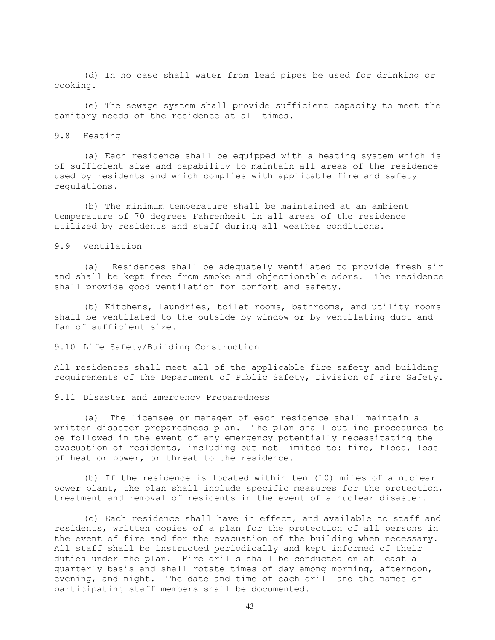(d) In no case shall water from lead pipes be used for drinking or cooking.

(e) The sewage system shall provide sufficient capacity to meet the sanitary needs of the residence at all times.

#### 9.8 Heating

(a) Each residence shall be equipped with a heating system which is of sufficient size and capability to maintain all areas of the residence used by residents and which complies with applicable fire and safety regulations.

(b) The minimum temperature shall be maintained at an ambient temperature of 70 degrees Fahrenheit in all areas of the residence utilized by residents and staff during all weather conditions.

# 9.9 Ventilation

(a) Residences shall be adequately ventilated to provide fresh air and shall be kept free from smoke and objectionable odors. The residence shall provide good ventilation for comfort and safety.

(b) Kitchens, laundries, toilet rooms, bathrooms, and utility rooms shall be ventilated to the outside by window or by ventilating duct and fan of sufficient size.

#### 9.10 Life Safety/Building Construction

All residences shall meet all of the applicable fire safety and building requirements of the Department of Public Safety, Division of Fire Safety.

9.11 Disaster and Emergency Preparedness

(a) The licensee or manager of each residence shall maintain a written disaster preparedness plan. The plan shall outline procedures to be followed in the event of any emergency potentially necessitating the evacuation of residents, including but not limited to: fire, flood, loss of heat or power, or threat to the residence.

(b) If the residence is located within ten (10) miles of a nuclear power plant, the plan shall include specific measures for the protection, treatment and removal of residents in the event of a nuclear disaster.

(c) Each residence shall have in effect, and available to staff and residents, written copies of a plan for the protection of all persons in the event of fire and for the evacuation of the building when necessary. All staff shall be instructed periodically and kept informed of their duties under the plan. Fire drills shall be conducted on at least a quarterly basis and shall rotate times of day among morning, afternoon, evening, and night. The date and time of each drill and the names of participating staff members shall be documented.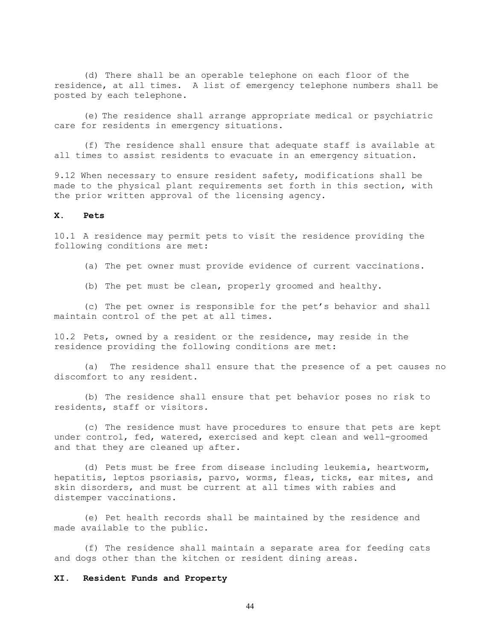(d) There shall be an operable telephone on each floor of the residence, at all times. A list of emergency telephone numbers shall be posted by each telephone.

(e) The residence shall arrange appropriate medical or psychiatric care for residents in emergency situations.

(f) The residence shall ensure that adequate staff is available at all times to assist residents to evacuate in an emergency situation.

9.12 When necessary to ensure resident safety, modifications shall be made to the physical plant requirements set forth in this section, with the prior written approval of the licensing agency.

#### **X. Pets**

10.1 A residence may permit pets to visit the residence providing the following conditions are met:

- (a) The pet owner must provide evidence of current vaccinations.
- (b) The pet must be clean, properly groomed and healthy.

(c) The pet owner is responsible for the pet's behavior and shall maintain control of the pet at all times.

10.2 Pets, owned by a resident or the residence, may reside in the residence providing the following conditions are met:

(a) The residence shall ensure that the presence of a pet causes no discomfort to any resident.

(b) The residence shall ensure that pet behavior poses no risk to residents, staff or visitors.

(c) The residence must have procedures to ensure that pets are kept under control, fed, watered, exercised and kept clean and well-groomed and that they are cleaned up after.

(d) Pets must be free from disease including leukemia, heartworm, hepatitis, leptos psoriasis, parvo, worms, fleas, ticks, ear mites, and skin disorders, and must be current at all times with rabies and distemper vaccinations.

(e) Pet health records shall be maintained by the residence and made available to the public.

(f) The residence shall maintain a separate area for feeding cats and dogs other than the kitchen or resident dining areas.

# **XI. Resident Funds and Property**

44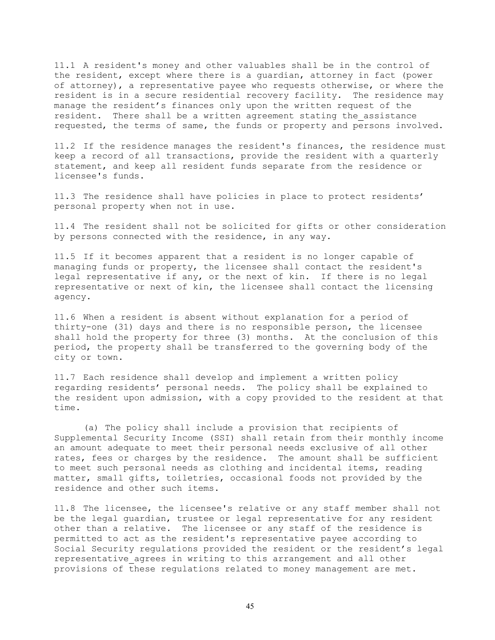11.1 A resident's money and other valuables shall be in the control of the resident, except where there is a guardian, attorney in fact (power of attorney), a representative payee who requests otherwise, or where the resident is in a secure residential recovery facility. The residence may manage the resident's finances only upon the written request of the resident. There shall be a written agreement stating the assistance requested, the terms of same, the funds or property and persons involved.

11.2 If the residence manages the resident's finances, the residence must keep a record of all transactions, provide the resident with a quarterly statement, and keep all resident funds separate from the residence or licensee's funds.

11.3 The residence shall have policies in place to protect residents' personal property when not in use.

11.4 The resident shall not be solicited for gifts or other consideration by persons connected with the residence, in any way.

11.5 If it becomes apparent that a resident is no longer capable of managing funds or property, the licensee shall contact the resident's legal representative if any, or the next of kin. If there is no legal representative or next of kin, the licensee shall contact the licensing agency.

11.6 When a resident is absent without explanation for a period of thirty-one (31) days and there is no responsible person, the licensee shall hold the property for three (3) months. At the conclusion of this period, the property shall be transferred to the governing body of the city or town.

11.7 Each residence shall develop and implement a written policy regarding residents' personal needs. The policy shall be explained to the resident upon admission, with a copy provided to the resident at that time.

(a) The policy shall include a provision that recipients of Supplemental Security Income (SSI) shall retain from their monthly income an amount adequate to meet their personal needs exclusive of all other rates, fees or charges by the residence. The amount shall be sufficient to meet such personal needs as clothing and incidental items, reading matter, small gifts, toiletries, occasional foods not provided by the residence and other such items.

11.8 The licensee, the licensee's relative or any staff member shall not be the legal guardian, trustee or legal representative for any resident other than a relative. The licensee or any staff of the residence is permitted to act as the resident's representative payee according to Social Security regulations provided the resident or the resident's legal representative agrees in writing to this arrangement and all other provisions of these regulations related to money management are met.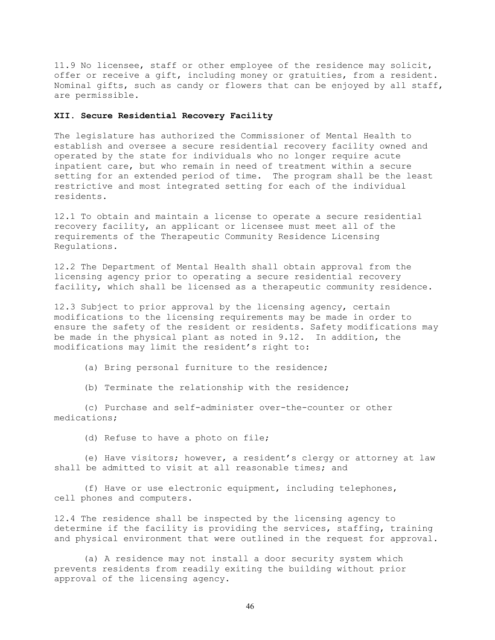11.9 No licensee, staff or other employee of the residence may solicit, offer or receive a gift, including money or gratuities, from a resident. Nominal gifts, such as candy or flowers that can be enjoyed by all staff, are permissible.

# **XII. Secure Residential Recovery Facility**

The legislature has authorized the Commissioner of Mental Health to establish and oversee a secure residential recovery facility owned and operated by the state for individuals who no longer require acute inpatient care, but who remain in need of treatment within a secure setting for an extended period of time. The program shall be the least restrictive and most integrated setting for each of the individual residents.

12.1 To obtain and maintain a license to operate a secure residential recovery facility, an applicant or licensee must meet all of the requirements of the Therapeutic Community Residence Licensing Regulations.

12.2 The Department of Mental Health shall obtain approval from the licensing agency prior to operating a secure residential recovery facility, which shall be licensed as a therapeutic community residence.

12.3 Subject to prior approval by the licensing agency, certain modifications to the licensing requirements may be made in order to ensure the safety of the resident or residents. Safety modifications may be made in the physical plant as noted in 9.12. In addition, the modifications may limit the resident's right to:

(a) Bring personal furniture to the residence;

(b) Terminate the relationship with the residence;

(c) Purchase and self-administer over-the-counter or other medications;

(d) Refuse to have a photo on file;

(e) Have visitors; however, a resident's clergy or attorney at law shall be admitted to visit at all reasonable times; and

(f) Have or use electronic equipment, including telephones, cell phones and computers.

12.4 The residence shall be inspected by the licensing agency to determine if the facility is providing the services, staffing, training and physical environment that were outlined in the request for approval.

(a) A residence may not install a door security system which prevents residents from readily exiting the building without prior approval of the licensing agency.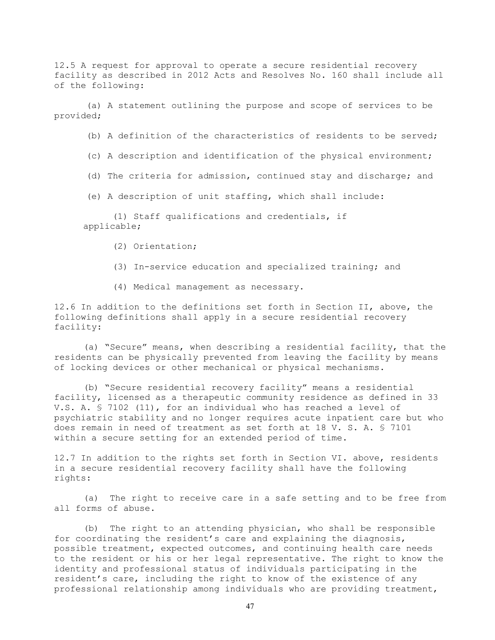12.5 A request for approval to operate a secure residential recovery facility as described in 2012 Acts and Resolves No. 160 shall include all of the following:

(a) A statement outlining the purpose and scope of services to be provided;

(b) A definition of the characteristics of residents to be served;

(c) A description and identification of the physical environment;

(d) The criteria for admission, continued stay and discharge; and

(e) A description of unit staffing, which shall include:

(1) Staff qualifications and credentials, if applicable;

- (2) Orientation;
- (3) In-service education and specialized training; and
- (4) Medical management as necessary.

12.6 In addition to the definitions set forth in Section II, above, the following definitions shall apply in a secure residential recovery facility:

(a) "Secure" means, when describing a residential facility, that the residents can be physically prevented from leaving the facility by means of locking devices or other mechanical or physical mechanisms.

(b) "Secure residential recovery facility" means a residential facility, licensed as a therapeutic community residence as defined in 33 V.S. A. § 7102 (11), for an individual who has reached a level of psychiatric stability and no longer requires acute inpatient care but who does remain in need of treatment as set forth at 18 V. S. A. § 7101 within a secure setting for an extended period of time.

12.7 In addition to the rights set forth in Section VI. above, residents in a secure residential recovery facility shall have the following rights:

(a) The right to receive care in a safe setting and to be free from all forms of abuse.

(b) The right to an attending physician, who shall be responsible for coordinating the resident's care and explaining the diagnosis, possible treatment, expected outcomes, and continuing health care needs to the resident or his or her legal representative. The right to know the identity and professional status of individuals participating in the resident's care, including the right to know of the existence of any professional relationship among individuals who are providing treatment,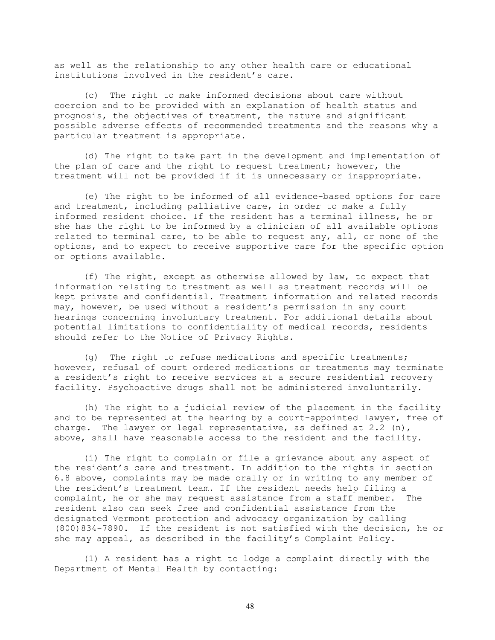as well as the relationship to any other health care or educational institutions involved in the resident's care.

(c) The right to make informed decisions about care without coercion and to be provided with an explanation of health status and prognosis, the objectives of treatment, the nature and significant possible adverse effects of recommended treatments and the reasons why a particular treatment is appropriate.

(d) The right to take part in the development and implementation of the plan of care and the right to request treatment; however, the treatment will not be provided if it is unnecessary or inappropriate.

(e) The right to be informed of all evidence-based options for care and treatment, including palliative care, in order to make a fully informed resident choice. If the resident has a terminal illness, he or she has the right to be informed by a clinician of all available options related to terminal care, to be able to request any, all, or none of the options, and to expect to receive supportive care for the specific option or options available.

(f) The right, except as otherwise allowed by law, to expect that information relating to treatment as well as treatment records will be kept private and confidential. Treatment information and related records may, however, be used without a resident's permission in any court hearings concerning involuntary treatment. For additional details about potential limitations to confidentiality of medical records, residents should refer to the Notice of Privacy Rights.

(g) The right to refuse medications and specific treatments; however, refusal of court ordered medications or treatments may terminate a resident's right to receive services at a secure residential recovery facility. Psychoactive drugs shall not be administered involuntarily.

(h) The right to a judicial review of the placement in the facility and to be represented at the hearing by a court-appointed lawyer, free of charge. The lawyer or legal representative, as defined at  $2.2 \,$  (n), above, shall have reasonable access to the resident and the facility.

(i) The right to complain or file a grievance about any aspect of the resident's care and treatment. In addition to the rights in section 6.8 above, complaints may be made orally or in writing to any member of the resident's treatment team. If the resident needs help filing a complaint, he or she may request assistance from a staff member. The resident also can seek free and confidential assistance from the designated Vermont protection and advocacy organization by calling (800)834-7890. If the resident is not satisfied with the decision, he or she may appeal, as described in the facility's Complaint Policy.

(1) A resident has a right to lodge a complaint directly with the Department of Mental Health by contacting: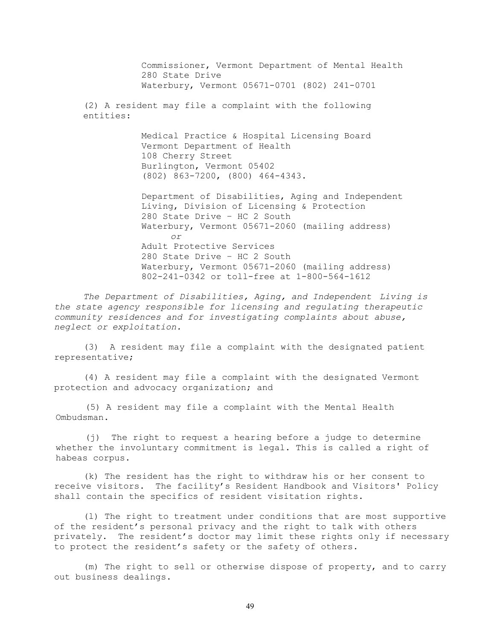Commissioner, Vermont Department of Mental Health 280 State Drive Waterbury, Vermont 05671-0701 (802) 241-0701 (2) A resident may file a complaint with the following entities: Medical Practice & Hospital Licensing Board Vermont Department of Health 108 Cherry Street Burlington, Vermont 05402 (802) 863-7200, (800) 464-4343. Department of Disabilities, Aging and Independent Living, Division of Licensing & Protection 280 State Drive – HC 2 South Waterbury, Vermont 05671-2060 (mailing address) *or*  Adult Protective Services 280 State Drive – HC 2 South Waterbury, Vermont 05671-2060 (mailing address)

802-241-0342 or toll-free at 1-800-564-1612

*The Department of Disabilities, Aging, and Independent Living is the state agency responsible for licensing and regulating therapeutic community residences and for investigating complaints about abuse, neglect or exploitation.* 

(3) A resident may file a complaint with the designated patient representative;

(4) A resident may file a complaint with the designated Vermont protection and advocacy organization; and

(5) A resident may file a complaint with the Mental Health Ombudsman.

(j) The right to request a hearing before a judge to determine whether the involuntary commitment is legal. This is called a right of habeas corpus.

(k) The resident has the right to withdraw his or her consent to receive visitors. The facility's Resident Handbook and Visitors' Policy shall contain the specifics of resident visitation rights.

(l) The right to treatment under conditions that are most supportive of the resident's personal privacy and the right to talk with others privately. The resident's doctor may limit these rights only if necessary to protect the resident's safety or the safety of others.

(m) The right to sell or otherwise dispose of property, and to carry out business dealings.

49